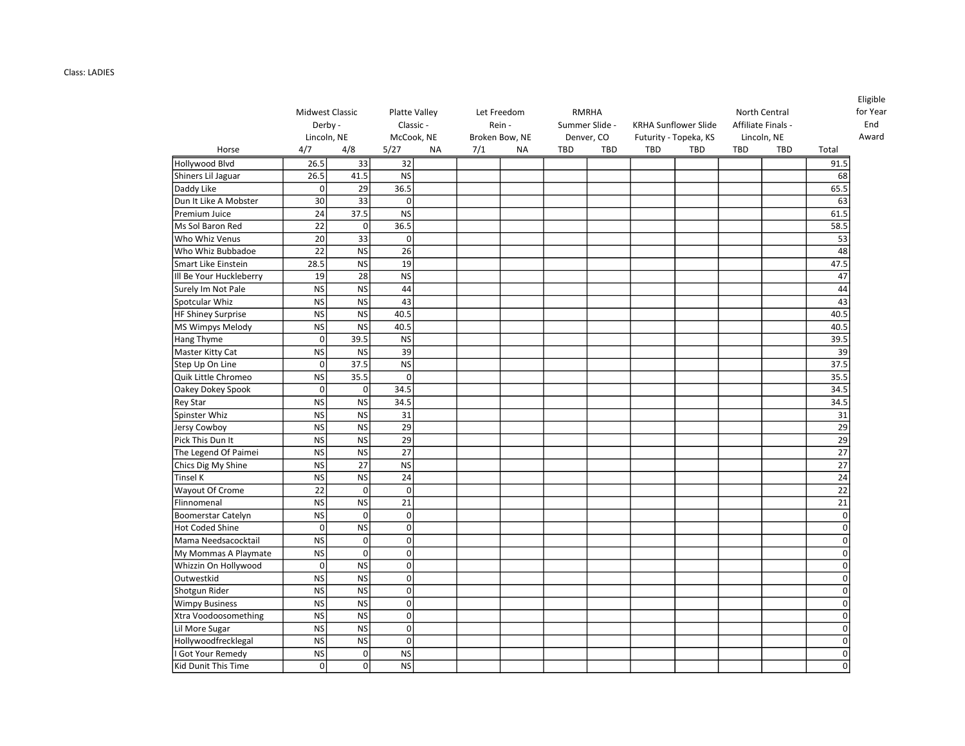## Class: LADIES

|                           | Midwest Classic<br>Derby -<br>Lincoln, NE |                 | <b>Platte Valley</b><br>Classic -<br>McCook, NE |           |     | Let Freedom<br>Rein -<br>Broken Bow, NE |     | RMRHA<br>Summer Slide -<br>Denver, CO |            | <b>KRHA Sunflower Slide</b><br>Futurity - Topeka, KS |            | North Central<br>Affiliate Finals -<br>Lincoln, NE | <b>Eligible</b><br>for Year |
|---------------------------|-------------------------------------------|-----------------|-------------------------------------------------|-----------|-----|-----------------------------------------|-----|---------------------------------------|------------|------------------------------------------------------|------------|----------------------------------------------------|-----------------------------|
| Horse                     | 4/7                                       | 4/8             | 5/27                                            | <b>NA</b> | 7/1 | <b>NA</b>                               | TBD | <b>TBD</b>                            | <b>TBD</b> | <b>TBD</b>                                           | <b>TBD</b> | <b>TBD</b>                                         | Total                       |
| Hollywood Blvd            | 26.5                                      | 33              | 32                                              |           |     |                                         |     |                                       |            |                                                      |            |                                                    | 91.5                        |
| Shiners Lil Jaguar        | 26.5                                      | 41.5            | <b>NS</b>                                       |           |     |                                         |     |                                       |            |                                                      |            |                                                    | 68                          |
| Daddy Like                | οl                                        | 29              | 36.5                                            |           |     |                                         |     |                                       |            |                                                      |            |                                                    | 65.5                        |
| Dun It Like A Mobster     | 30                                        | $\overline{33}$ | $\mathbf 0$                                     |           |     |                                         |     |                                       |            |                                                      |            |                                                    | 63                          |
| Premium Juice             | 24                                        | 37.5            | <b>NS</b>                                       |           |     |                                         |     |                                       |            |                                                      |            |                                                    | 61.5                        |
| Ms Sol Baron Red          | 22                                        | $\overline{0}$  | 36.5                                            |           |     |                                         |     |                                       |            |                                                      |            |                                                    | 58.5                        |
| Who Whiz Venus            | 20                                        | 33              | $\mathbf 0$                                     |           |     |                                         |     |                                       |            |                                                      |            |                                                    | 53                          |
| Who Whiz Bubbadoe         | 22                                        | <b>NS</b>       | 26                                              |           |     |                                         |     |                                       |            |                                                      |            |                                                    | 48                          |
| Smart Like Einstein       | 28.5                                      | <b>NS</b>       | 19                                              |           |     |                                         |     |                                       |            |                                                      |            |                                                    | 47.5                        |
| Ill Be Your Huckleberry   | 19                                        | 28              | <b>NS</b>                                       |           |     |                                         |     |                                       |            |                                                      |            |                                                    | 47                          |
| Surely Im Not Pale        | <b>NS</b>                                 | $\overline{NS}$ | 44                                              |           |     |                                         |     |                                       |            |                                                      |            |                                                    | 44                          |
| Spotcular Whiz            | <b>NS</b>                                 | <b>NS</b>       | 43                                              |           |     |                                         |     |                                       |            |                                                      |            |                                                    | 43                          |
| HF Shiney Surprise        | <b>NS</b>                                 | <b>NS</b>       | 40.5                                            |           |     |                                         |     |                                       |            |                                                      |            |                                                    | 40.5                        |
| MS Wimpys Melody          | <b>NS</b>                                 | <b>NS</b>       | 40.5                                            |           |     |                                         |     |                                       |            |                                                      |            |                                                    | 40.5                        |
| Hang Thyme                | $\mathbf 0$                               | 39.5            | <b>NS</b>                                       |           |     |                                         |     |                                       |            |                                                      |            |                                                    | 39.5                        |
| Master Kitty Cat          | <b>NS</b>                                 | <b>NS</b>       | 39                                              |           |     |                                         |     |                                       |            |                                                      |            |                                                    | 39                          |
| Step Up On Line           | 0                                         | 37.5            | <b>NS</b>                                       |           |     |                                         |     |                                       |            |                                                      |            |                                                    | 37.5                        |
| Quik Little Chromeo       | <b>NS</b>                                 | 35.5            | $\mathbf 0$                                     |           |     |                                         |     |                                       |            |                                                      |            |                                                    | 35.5                        |
| Oakey Dokey Spook         | $\Omega$                                  | $\Omega$        | 34.5                                            |           |     |                                         |     |                                       |            |                                                      |            |                                                    | 34.5                        |
| <b>Rey Star</b>           | <b>NS</b>                                 | <b>NS</b>       | 34.5                                            |           |     |                                         |     |                                       |            |                                                      |            |                                                    | 34.5                        |
| Spinster Whiz             | <b>NS</b>                                 | <b>NS</b>       | 31                                              |           |     |                                         |     |                                       |            |                                                      |            |                                                    | 31                          |
| Jersy Cowboy              | <b>NS</b>                                 | $\overline{NS}$ | 29                                              |           |     |                                         |     |                                       |            |                                                      |            |                                                    | 29                          |
| Pick This Dun It          | <b>NS</b>                                 | <b>NS</b>       | 29                                              |           |     |                                         |     |                                       |            |                                                      |            |                                                    | 29                          |
| The Legend Of Paimei      | <b>NS</b>                                 | <b>NS</b>       | 27                                              |           |     |                                         |     |                                       |            |                                                      |            |                                                    | 27                          |
| Chics Dig My Shine        | <b>NS</b>                                 | $\overline{27}$ | <b>NS</b>                                       |           |     |                                         |     |                                       |            |                                                      |            |                                                    | 27                          |
| Tinsel K                  | <b>NS</b>                                 | <b>NS</b>       | 24                                              |           |     |                                         |     |                                       |            |                                                      |            |                                                    | $\overline{24}$             |
| Wayout Of Crome           | 22                                        | $\mathbf 0$     | $\mathbf 0$                                     |           |     |                                         |     |                                       |            |                                                      |            |                                                    | $\overline{22}$             |
| Flinnomenal               | <b>NS</b>                                 | <b>NS</b>       | 21                                              |           |     |                                         |     |                                       |            |                                                      |            |                                                    | 21                          |
| <b>Boomerstar Catelyn</b> | <b>NS</b>                                 | $\mathbf 0$     | $\pmb{0}$                                       |           |     |                                         |     |                                       |            |                                                      |            |                                                    | $\mathbf 0$                 |
| <b>Hot Coded Shine</b>    | $\mathbf 0$                               | N <sub>S</sub>  | $\mathbf 0$                                     |           |     |                                         |     |                                       |            |                                                      |            |                                                    | $\Omega$                    |
| Mama Needsacocktail       | <b>NS</b>                                 | $\mathbf 0$     | $\mathbf 0$                                     |           |     |                                         |     |                                       |            |                                                      |            |                                                    | $\Omega$                    |
| My Mommas A Playmate      | <b>NS</b>                                 | $\overline{0}$  | $\pmb{0}$                                       |           |     |                                         |     |                                       |            |                                                      |            |                                                    | $\mathbf 0$                 |
| Whizzin On Hollywood      | $\mathbf 0$                               | <b>NS</b>       | $\mathbf 0$                                     |           |     |                                         |     |                                       |            |                                                      |            |                                                    | $\Omega$                    |
| Outwestkid                | <b>NS</b>                                 | <b>NS</b>       | $\mathbf 0$                                     |           |     |                                         |     |                                       |            |                                                      |            |                                                    | $\Omega$                    |
| Shotgun Rider             | <b>NS</b>                                 | <b>NS</b>       | $\overline{0}$                                  |           |     |                                         |     |                                       |            |                                                      |            |                                                    | $\Omega$                    |
| <b>Wimpy Business</b>     | <b>NS</b>                                 | $\overline{NS}$ | $\mathbf 0$                                     |           |     |                                         |     |                                       |            |                                                      |            |                                                    | $\mathbf 0$                 |
| Xtra Voodoosomething      | <b>NS</b>                                 | <b>NS</b>       | $\mathbf 0$                                     |           |     |                                         |     |                                       |            |                                                      |            |                                                    | $\Omega$                    |
| Lil More Sugar            | <b>NS</b>                                 | $\overline{NS}$ | $\mathbf 0$                                     |           |     |                                         |     |                                       |            |                                                      |            |                                                    | $\Omega$                    |
| Hollywoodfrecklegal       | <b>NS</b>                                 | <b>NS</b>       | $\mathbf 0$                                     |           |     |                                         |     |                                       |            |                                                      |            |                                                    | $\Omega$                    |
| <b>Got Your Remedy</b>    | <b>NS</b>                                 | $\mathbf 0$     | <b>NS</b>                                       |           |     |                                         |     |                                       |            |                                                      |            |                                                    | $\Omega$                    |
| Kid Dunit This Time       | οl                                        | $\overline{0}$  | <b>NS</b>                                       |           |     |                                         |     |                                       |            |                                                      |            |                                                    | $\mathbf 0$                 |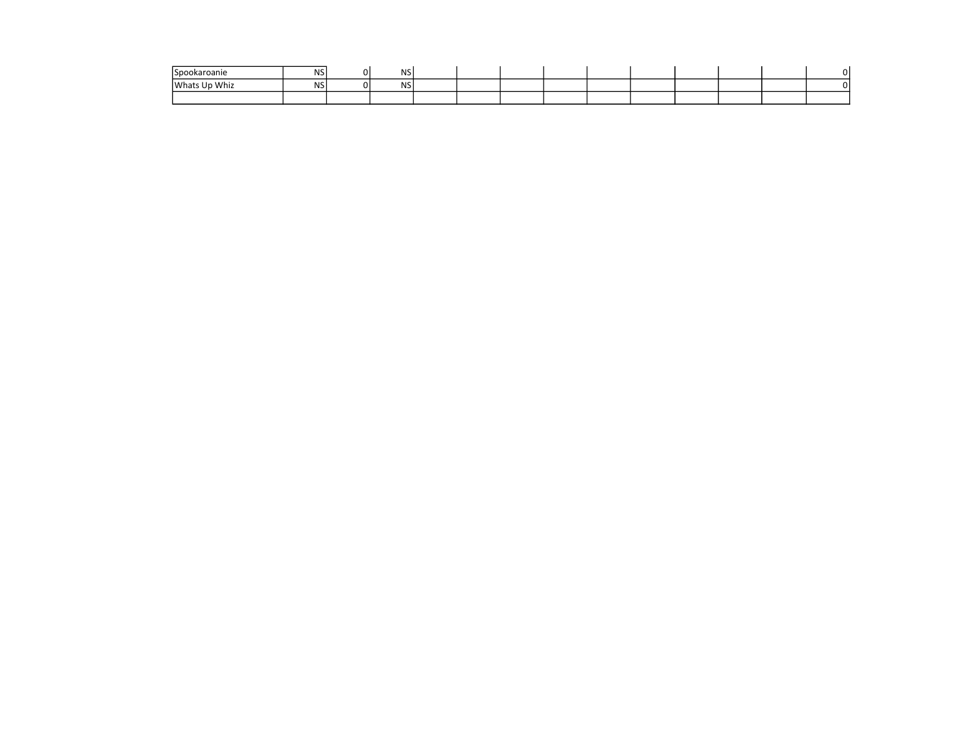| <i>Spookaroanie</i> | NS | <b>NS</b>  |  |  |  |  |  |
|---------------------|----|------------|--|--|--|--|--|
| Whats Up Whiz       | NS | <b>NSI</b> |  |  |  |  |  |
|                     |    |            |  |  |  |  |  |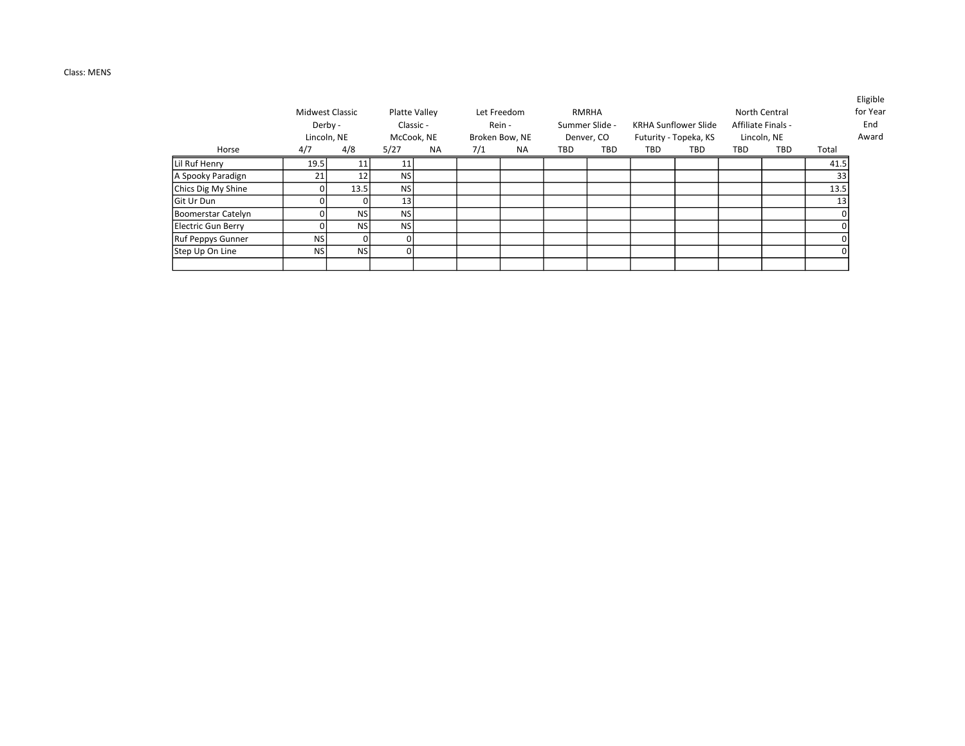## Class: MENS

|                    | Derby -<br>Lincoln, NE | <b>Midwest Classic</b> |           | Platte Valley<br>Classic -<br>McCook, NE |     | Let Freedom<br>Rein -<br>Broken Bow, NE |     | RMRHA<br>Summer Slide -<br>Denver, CO |     | KRHA Sunflower Slide<br>Futurity - Topeka, KS |     | North Central<br>Affiliate Finals -<br>Lincoln, NE |       | Eligible<br>for Year<br>End<br>Award |
|--------------------|------------------------|------------------------|-----------|------------------------------------------|-----|-----------------------------------------|-----|---------------------------------------|-----|-----------------------------------------------|-----|----------------------------------------------------|-------|--------------------------------------|
| Horse              | 4/7                    | 4/8                    | 5/27      | <b>NA</b>                                | 7/1 | <b>NA</b>                               | TBD | TBD                                   | TBD | <b>TBD</b>                                    | TBD | TBD                                                | Total |                                      |
| Lil Ruf Henry      | 19.5                   | 11                     | 11        |                                          |     |                                         |     |                                       |     |                                               |     |                                                    | 41.5  |                                      |
| A Spooky Paradign  | 21                     | 12 <sub>1</sub>        | <b>NS</b> |                                          |     |                                         |     |                                       |     |                                               |     |                                                    | 33    |                                      |
| Chics Dig My Shine |                        | 13.5                   | <b>NS</b> |                                          |     |                                         |     |                                       |     |                                               |     |                                                    | 13.5  |                                      |
| <b>Git Ur Dun</b>  |                        | 01                     | 13        |                                          |     |                                         |     |                                       |     |                                               |     |                                                    | 13    |                                      |
| Boomerstar Catelyn |                        | <b>NSI</b>             | <b>NS</b> |                                          |     |                                         |     |                                       |     |                                               |     |                                                    |       |                                      |
| Electric Gun Berry |                        | <b>NSI</b>             | <b>NS</b> |                                          |     |                                         |     |                                       |     |                                               |     |                                                    |       |                                      |
| Ruf Peppys Gunner  | <b>NS</b>              | 01                     | $\Omega$  |                                          |     |                                         |     |                                       |     |                                               |     |                                                    |       |                                      |
| Step Up On Line    | <b>NS</b>              | <b>NSI</b>             | $\Omega$  |                                          |     |                                         |     |                                       |     |                                               |     |                                                    |       |                                      |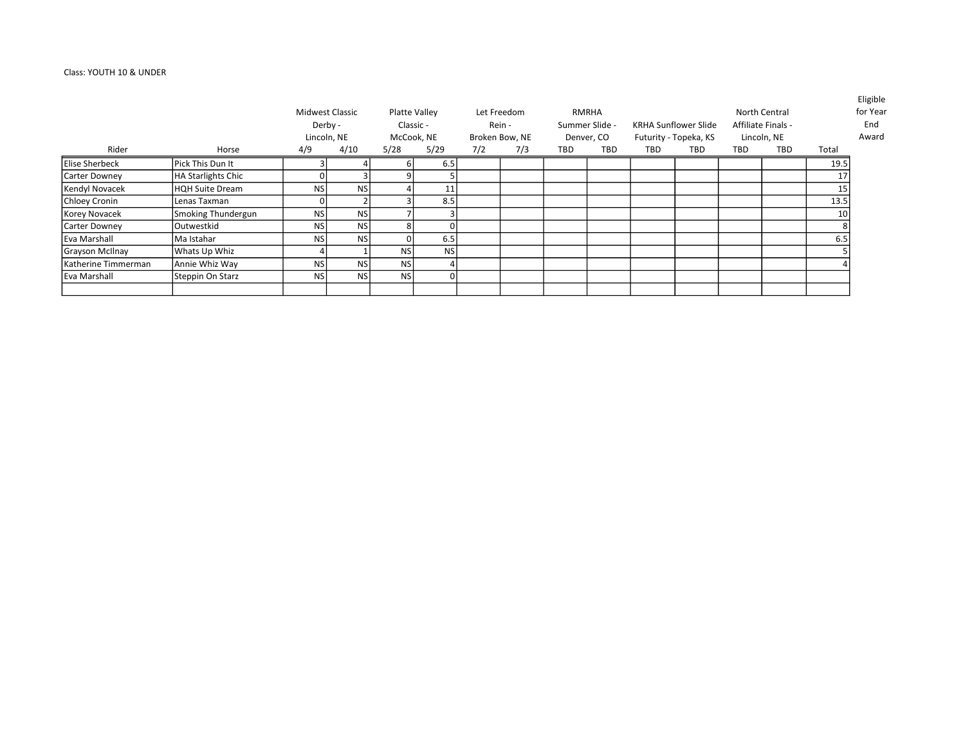## Class: YOUTH 10 & UNDER

|                       |                    |           | Midwest Classic<br>Derby -<br>Lincoln, NE |            | Platte Valley<br>Classic -<br>McCook, NE |     | Let Freedom<br>Rein -<br>Broken Bow, NE |     | RMRHA<br>Summer Slide -<br>Denver, CO |     | <b>KRHA Sunflower Slide</b><br>Futurity - Topeka, KS |     | North Central<br>Affiliate Finals -<br>Lincoln, NE |                 | Eligible<br>for Year<br>End<br>Award |
|-----------------------|--------------------|-----------|-------------------------------------------|------------|------------------------------------------|-----|-----------------------------------------|-----|---------------------------------------|-----|------------------------------------------------------|-----|----------------------------------------------------|-----------------|--------------------------------------|
| Rider                 | Horse              | 4/9       | 4/10                                      | 5/28       | 5/29                                     | 7/2 | 7/3                                     | TBD | TBD                                   | TBD | TBD                                                  | TBD | <b>TBD</b>                                         | Total           |                                      |
| <b>Elise Sherbeck</b> | Pick This Dun It   |           |                                           |            | 6.5                                      |     |                                         |     |                                       |     |                                                      |     |                                                    | 19.5            |                                      |
| Carter Downey         | HA Starlights Chic |           |                                           |            |                                          |     |                                         |     |                                       |     |                                                      |     |                                                    | 17              |                                      |
| Kendyl Novacek        | HQH Suite Dream    | NS        | <b>NSI</b>                                |            | 11                                       |     |                                         |     |                                       |     |                                                      |     |                                                    | 15              |                                      |
| Chloey Cronin         | l Lenas Taxman     |           |                                           |            | 8.5                                      |     |                                         |     |                                       |     |                                                      |     |                                                    | 13.5            |                                      |
| Korey Novacek         | Smoking Thundergun | <b>NS</b> | <b>NSI</b>                                |            |                                          |     |                                         |     |                                       |     |                                                      |     |                                                    | 10 <sup>1</sup> |                                      |
| Carter Downey         | Outwestkid         | NS I      | <b>NSI</b>                                |            |                                          |     |                                         |     |                                       |     |                                                      |     |                                                    |                 |                                      |
| l Eva Marshall        | lMa Istahar        | NS l      | <b>NSI</b>                                |            | 6.5                                      |     |                                         |     |                                       |     |                                                      |     |                                                    | 6.5             |                                      |
| Grayson McIlnay       | Whats Up Whiz      |           |                                           | <b>NS</b>  | <b>NS</b>                                |     |                                         |     |                                       |     |                                                      |     |                                                    |                 |                                      |
| l Katherine Timmerman | Annie Whiz Way     | <b>NS</b> | <b>NSI</b>                                | <b>NS</b>  |                                          |     |                                         |     |                                       |     |                                                      |     |                                                    |                 |                                      |
| Eva Marshall          | Steppin On Starz   | NS I      | <b>NSI</b>                                | <b>NSI</b> |                                          |     |                                         |     |                                       |     |                                                      |     |                                                    |                 |                                      |
|                       |                    |           |                                           |            |                                          |     |                                         |     |                                       |     |                                                      |     |                                                    |                 |                                      |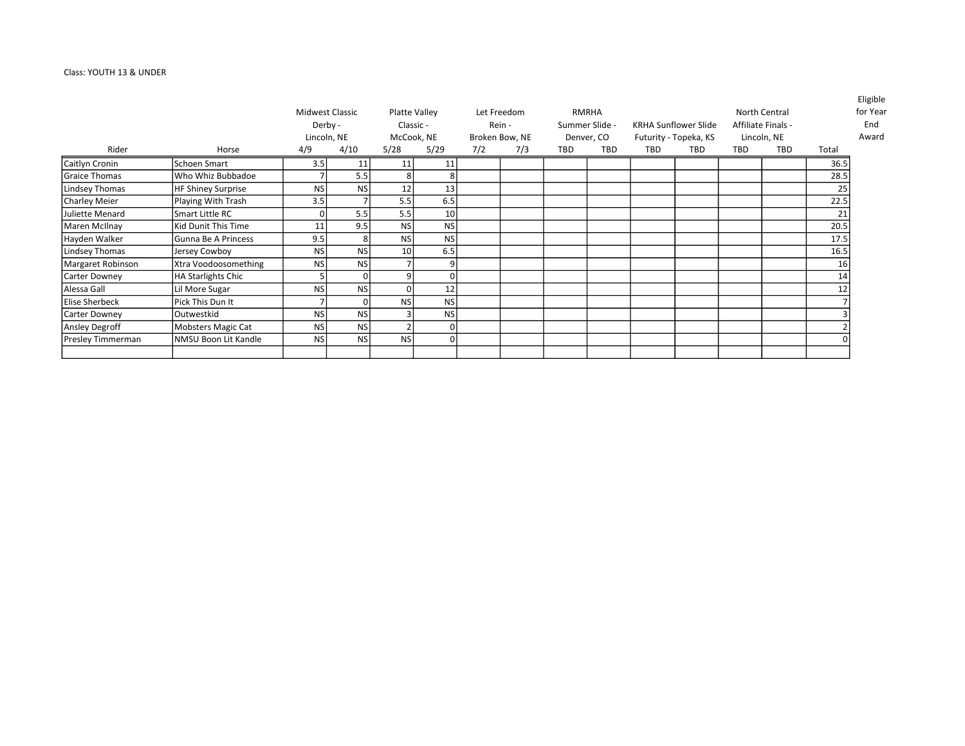# Class: YOUTH 13 & UNDER

|                       |                           |           | Midwest Classic |                 | Platte Valley |     | Let Freedom    |     | <b>RMRHA</b>   |            |                             |     | North Central      |       | Eligible<br>for Year |
|-----------------------|---------------------------|-----------|-----------------|-----------------|---------------|-----|----------------|-----|----------------|------------|-----------------------------|-----|--------------------|-------|----------------------|
|                       |                           |           | Derby -         |                 | Classic -     |     | Rein -         |     | Summer Slide - |            | <b>KRHA Sunflower Slide</b> |     | Affiliate Finals - |       | End                  |
|                       |                           |           | Lincoln, NE     |                 | McCook, NE    |     | Broken Bow, NE |     | Denver, CO     |            | Futurity - Topeka, KS       |     | Lincoln, NE        |       | Award                |
| Rider                 | Horse                     | 4/9       | 4/10            | 5/28            | 5/29          | 7/2 | 7/3            | TBD | TBD            | <b>TBD</b> | TBD                         | TBD | TBD                | Total |                      |
| Caitlyn Cronin        | Schoen Smart              | 3.5       | 11              | 11              | 11            |     |                |     |                |            |                             |     |                    | 36.5  |                      |
| <b>Graice Thomas</b>  | Who Whiz Bubbadoe         |           | 5.5             | 8               |               |     |                |     |                |            |                             |     |                    | 28.5  |                      |
| Lindsey Thomas        | <b>HF Shiney Surprise</b> | <b>NS</b> | <b>NS</b>       | 12              | 13            |     |                |     |                |            |                             |     |                    | 25    |                      |
| <b>Charley Meier</b>  | Playing With Trash        | 3.5       |                 | 5.5             | 6.5           |     |                |     |                |            |                             |     |                    | 22.5  |                      |
| Juliette Menard       | Smart Little RC           | $\Omega$  | 5.5             | 5.5             | 10            |     |                |     |                |            |                             |     |                    | 21    |                      |
| Maren McIlnay         | Kid Dunit This Time       | 11        | 9.5             | <b>NS</b>       | <b>NS</b>     |     |                |     |                |            |                             |     |                    | 20.5  |                      |
| Hayden Walker         | Gunna Be A Princess       | 9.5       | 8               | <b>NS</b>       | <b>NS</b>     |     |                |     |                |            |                             |     |                    | 17.5  |                      |
| Lindsey Thomas        | Jersey Cowboy             | <b>NS</b> | <b>NS</b>       | 10 <sup>1</sup> | 6.5           |     |                |     |                |            |                             |     |                    | 16.5  |                      |
| Margaret Robinson     | Xtra Voodoosomething      | <b>NS</b> | <b>NS</b>       |                 |               |     |                |     |                |            |                             |     |                    | 16    |                      |
| Carter Downey         | <b>HA Starlights Chic</b> |           |                 | 9               |               |     |                |     |                |            |                             |     |                    | 14    |                      |
| Alessa Gall           | Lil More Sugar            | <b>NS</b> | <b>NS</b>       | $\Omega$        | 12            |     |                |     |                |            |                             |     |                    | 12    |                      |
| <b>Elise Sherbeck</b> | Pick This Dun It          |           |                 | <b>NS</b>       | <b>NS</b>     |     |                |     |                |            |                             |     |                    |       |                      |
| Carter Downey         | Outwestkid                | <b>NS</b> | <b>NS</b>       |                 | <b>NS</b>     |     |                |     |                |            |                             |     |                    |       |                      |
| Ansley Degroff        | Mobsters Magic Cat        | <b>NS</b> | <b>NS</b>       |                 |               |     |                |     |                |            |                             |     |                    |       |                      |
| Presley Timmerman     | NMSU Boon Lit Kandle      | <b>NS</b> | <b>NS</b>       | <b>NS</b>       |               |     |                |     |                |            |                             |     |                    |       |                      |
|                       |                           |           |                 |                 |               |     |                |     |                |            |                             |     |                    |       |                      |

Eligible or Year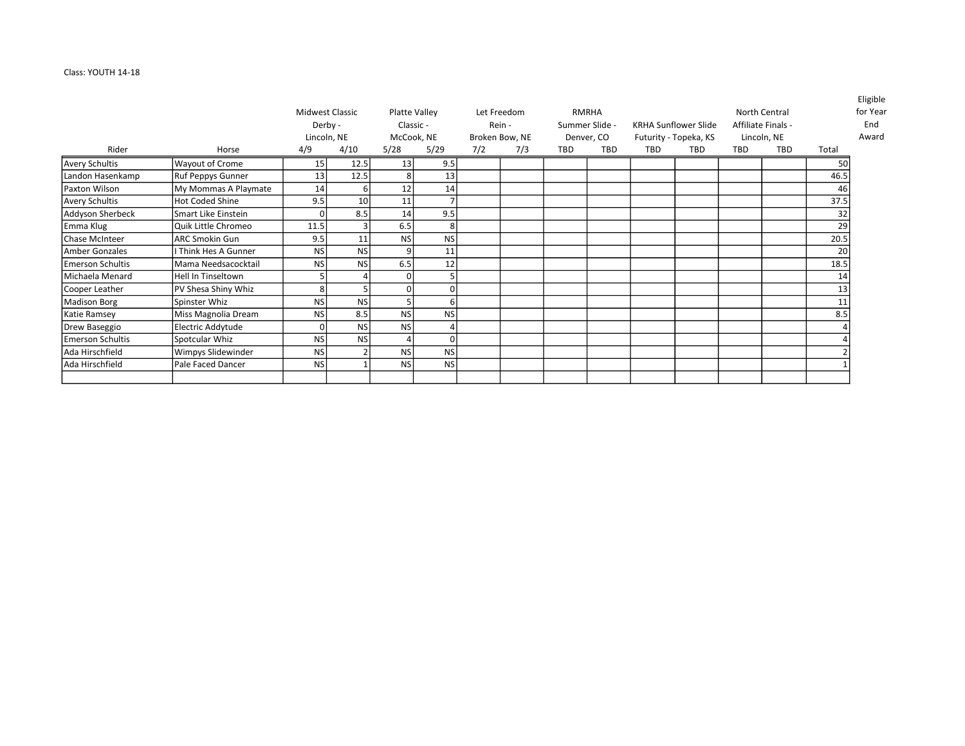## Class: YOUTH 14-18

|                         |                           |                 |           |               |               |     |                |     |                |            |                             |     |                    |       | <b>Lugible</b> |
|-------------------------|---------------------------|-----------------|-----------|---------------|---------------|-----|----------------|-----|----------------|------------|-----------------------------|-----|--------------------|-------|----------------|
|                         |                           | Midwest Classic |           |               | Platte Valley |     | Let Freedom    |     | RMRHA          |            |                             |     | North Central      |       | for Year       |
|                         |                           | Derby -         |           | Classic -     |               |     | Rein -         |     | Summer Slide - |            | <b>KRHA Sunflower Slide</b> |     | Affiliate Finals - |       | End            |
|                         |                           | Lincoln, NE     |           |               | McCook, NE    |     | Broken Bow, NE |     | Denver, CO     |            | Futurity - Topeka, KS       |     | Lincoln, NE        |       | Award          |
| Rider                   | Horse                     | 4/9             | 4/10      | 5/28          | 5/29          | 7/2 | 7/3            | TBD | TBD            | <b>TBD</b> | TBD                         | TBD | TBD                | Total |                |
| Avery Schultis          | Wayout of Crome           | 15              | 12.5      | 13            | 9.5           |     |                |     |                |            |                             |     |                    | 50    |                |
| Landon Hasenkamp        | <b>Ruf Peppys Gunner</b>  | 13              | 12.5      | 8             | 13            |     |                |     |                |            |                             |     |                    | 46.5  |                |
| Paxton Wilson           | My Mommas A Playmate      | 14              |           | 12            | 14            |     |                |     |                |            |                             |     |                    | 46    |                |
| Avery Schultis          | <b>Hot Coded Shine</b>    | 9.5             | 10        | 11            |               |     |                |     |                |            |                             |     |                    | 37.5  |                |
| Addyson Sherbeck        | Smart Like Einstein       | 0l              | 8.5       | 14            | 9.5           |     |                |     |                |            |                             |     |                    | 32    |                |
| Emma Klug               | Quik Little Chromeo       | 11.5            |           | 6.5           |               |     |                |     |                |            |                             |     |                    | 29    |                |
| Chase McInteer          | <b>ARC Smokin Gun</b>     | 9.5             | 11        | <sub>NS</sub> | <b>NS</b>     |     |                |     |                |            |                             |     |                    | 20.5  |                |
| Amber Gonzales          | I Think Hes A Gunner      | NS              | <b>NS</b> | 91            | 11            |     |                |     |                |            |                             |     |                    | 20    |                |
| <b>Emerson Schultis</b> | Mama Needsacocktail       | <b>NS</b>       | <b>NS</b> | 6.5           | 12            |     |                |     |                |            |                             |     |                    | 18.5  |                |
| Michaela Menard         | <b>Hell In Tinseltown</b> |                 |           | Οl            |               |     |                |     |                |            |                             |     |                    | 14    |                |
| Cooper Leather          | PV Shesa Shiny Whiz       | 8               |           | ΟI            |               |     |                |     |                |            |                             |     |                    | 13    |                |
| Madison Borg            | Spinster Whiz             | <b>NS</b>       | <b>NS</b> |               |               |     |                |     |                |            |                             |     |                    | 11    |                |
| Katie Ramsey            | Miss Magnolia Dream       | <b>NS</b>       | 8.5       | <sub>NS</sub> | <b>NS</b>     |     |                |     |                |            |                             |     |                    | 8.5   |                |
| Drew Baseggio           | Electric Addytude         | 0l              | <b>NS</b> | NS            |               |     |                |     |                |            |                             |     |                    |       |                |
| Emerson Schultis        | Spotcular Whiz            | <b>NS</b>       | <b>NS</b> |               |               |     |                |     |                |            |                             |     |                    |       |                |
| Ada Hirschfield         | Wimpys Slidewinder        | <b>NS</b>       |           | <b>NS</b>     | <b>NS</b>     |     |                |     |                |            |                             |     |                    |       |                |
| Ada Hirschfield         | Pale Faced Dancer         | <b>NS</b>       |           | NS            | <b>NS</b>     |     |                |     |                |            |                             |     |                    |       |                |
|                         |                           |                 |           |               |               |     |                |     |                |            |                             |     |                    |       |                |

Eligible 'Year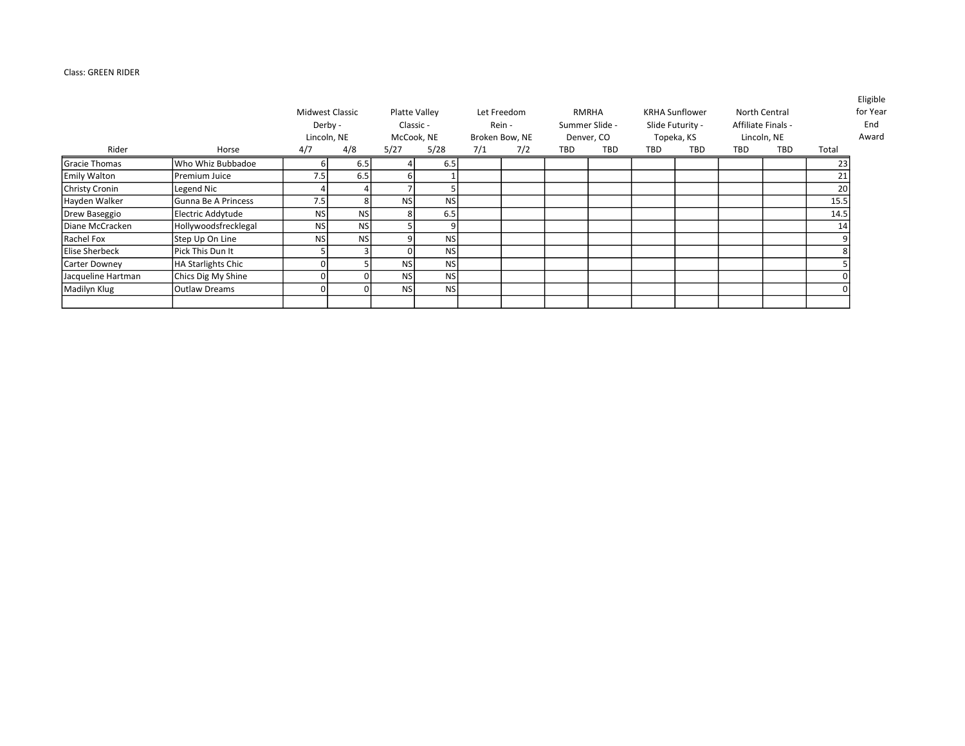## Class: GREEN RIDER

|                       |                      |           | Midwest Classic<br>Derby -<br>Lincoln, NE |            | Platte Valley<br>Classic -<br>McCook, NE |     | Let Freedom<br>Rein -<br>Broken Bow, NE |     | RMRHA<br>Summer Slide -<br>Denver, CO |     | <b>KRHA Sunflower</b><br>Slide Futurity -<br>Topeka, KS |     | <b>North Central</b><br>Affiliate Finals -<br>Lincoln, NE |       | Eligible<br>for Year<br>End<br>Award |
|-----------------------|----------------------|-----------|-------------------------------------------|------------|------------------------------------------|-----|-----------------------------------------|-----|---------------------------------------|-----|---------------------------------------------------------|-----|-----------------------------------------------------------|-------|--------------------------------------|
| Rider                 | Horse                | 4/7       | 4/8                                       | 5/27       | 5/28                                     | 7/1 | 7/2                                     | TBD | <b>TBD</b>                            | TBD | <b>TBD</b>                                              | TBD | TBD                                                       | Total |                                      |
| Gracie Thomas         | Who Whiz Bubbadoe    |           | 6.5                                       |            | 6.5                                      |     |                                         |     |                                       |     |                                                         |     |                                                           | 23    |                                      |
| <b>Emily Walton</b>   | Premium Juice        | 7.5       | 6.5                                       |            |                                          |     |                                         |     |                                       |     |                                                         |     |                                                           | 21    |                                      |
| Christy Cronin        | Legend Nic           |           |                                           |            |                                          |     |                                         |     |                                       |     |                                                         |     |                                                           | 20    |                                      |
| Hayden Walker         | lGunna Be A Princess | 7.5       |                                           | <b>NSI</b> | <b>NS</b>                                |     |                                         |     |                                       |     |                                                         |     |                                                           | 15.5  |                                      |
| Drew Baseggio         | Electric Addytude    | <b>NS</b> | <b>NS</b>                                 |            | 6.5                                      |     |                                         |     |                                       |     |                                                         |     |                                                           | 14.5  |                                      |
| Diane McCracken       | Hollywoodsfrecklegal | NS I      | <b>NS</b>                                 |            |                                          |     |                                         |     |                                       |     |                                                         |     |                                                           | 14    |                                      |
| Rachel Fox            | Step Up On Line      | <b>NS</b> | <b>NS</b>                                 |            | <b>NS</b>                                |     |                                         |     |                                       |     |                                                         |     |                                                           |       |                                      |
| <b>Elise Sherbeck</b> | Pick This Dun It     |           |                                           |            | <b>NS</b>                                |     |                                         |     |                                       |     |                                                         |     |                                                           |       |                                      |
| Carter Downey         | HA Starlights Chic   |           |                                           | <b>NS</b>  | <b>NS</b>                                |     |                                         |     |                                       |     |                                                         |     |                                                           |       |                                      |
| Jacqueline Hartman    | Chics Dig My Shine   |           |                                           | <b>NSI</b> | <b>NS</b>                                |     |                                         |     |                                       |     |                                                         |     |                                                           |       |                                      |
| Madilyn Klug          | <b>Outlaw Dreams</b> |           |                                           | <b>NS</b>  | <b>NS</b>                                |     |                                         |     |                                       |     |                                                         |     |                                                           |       |                                      |
|                       |                      |           |                                           |            |                                          |     |                                         |     |                                       |     |                                                         |     |                                                           |       |                                      |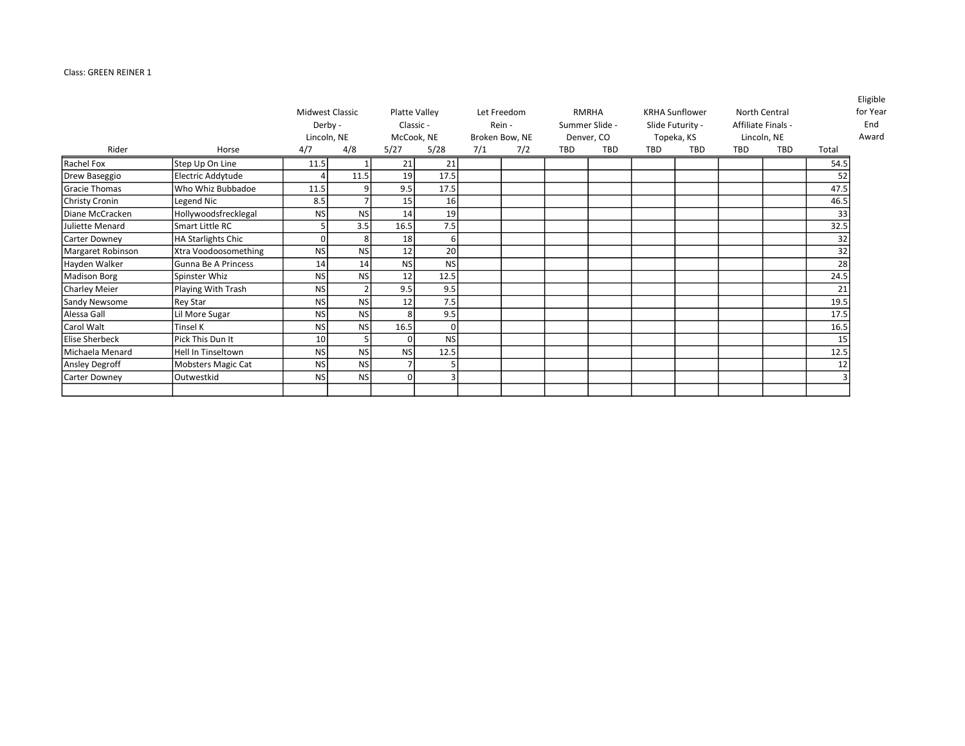## Class: GREEN REINER 1

|                       |                      |           | <b>Midwest Classic</b> |           | Platte Valley      |     | Let Freedom           |     | RMRHA                    |     | <b>KRHA Sunflower</b>    |            | North Central             |       | <b>Eligible</b><br>for Year |
|-----------------------|----------------------|-----------|------------------------|-----------|--------------------|-----|-----------------------|-----|--------------------------|-----|--------------------------|------------|---------------------------|-------|-----------------------------|
|                       |                      |           | Derby -                |           | Classic -          |     | Rein -                |     | Summer Slide -           |     | Slide Futurity -         |            | Affiliate Finals -        |       | End                         |
|                       |                      |           |                        |           |                    |     |                       |     |                          |     |                          |            |                           |       | Award                       |
| Rider                 | Horse                | 4/7       | Lincoln, NE<br>4/8     | 5/27      | McCook, NE<br>5/28 | 7/1 | Broken Bow, NE<br>7/2 | TBD | Denver, CO<br><b>TBD</b> | TBD | Topeka, KS<br><b>TBD</b> | <b>TBD</b> | Lincoln, NE<br><b>TBD</b> | Total |                             |
|                       |                      |           |                        |           |                    |     |                       |     |                          |     |                          |            |                           |       |                             |
| Rachel Fox            | Step Up On Line      | 11.5      |                        | 21        | 21                 |     |                       |     |                          |     |                          |            |                           | 54.5  |                             |
| Drew Baseggio         | Electric Addytude    |           | 11.5                   | 19        | 17.5               |     |                       |     |                          |     |                          |            |                           | 52    |                             |
| <b>Gracie Thomas</b>  | Who Whiz Bubbadoe    | 11.5      |                        | 9.5       | 17.5               |     |                       |     |                          |     |                          |            |                           | 47.5  |                             |
| Christy Cronin        | Legend Nic           | 8.5       |                        | 15        | 16                 |     |                       |     |                          |     |                          |            |                           | 46.5  |                             |
| Diane McCracken       | Hollywoodsfrecklegal | <b>NS</b> | <b>NS</b>              | 14        | 19                 |     |                       |     |                          |     |                          |            |                           | 33    |                             |
| Juliette Menard       | Smart Little RC      |           | 3.5                    | 16.5      | 7.5                |     |                       |     |                          |     |                          |            |                           | 32.5  |                             |
| Carter Downey         | HA Starlights Chic   | $\Omega$  | 8                      | 18        | 61                 |     |                       |     |                          |     |                          |            |                           | 32    |                             |
| Margaret Robinson     | Xtra Voodoosomething | <b>NS</b> | <b>NS</b>              | 12        | 20                 |     |                       |     |                          |     |                          |            |                           | 32    |                             |
| Hayden Walker         | Gunna Be A Princess  | 14        | 14                     | <b>NS</b> | <b>NS</b>          |     |                       |     |                          |     |                          |            |                           | 28    |                             |
| Madison Borg          | Spinster Whiz        | <b>NS</b> | <b>NS</b>              | 12        | 12.5               |     |                       |     |                          |     |                          |            |                           | 24.5  |                             |
| Charley Meier         | Playing With Trash   | <b>NS</b> |                        | 9.5       | 9.5                |     |                       |     |                          |     |                          |            |                           | 21    |                             |
| Sandy Newsome         | <b>Rey Star</b>      | <b>NS</b> | <b>NS</b>              | 12        | 7.5                |     |                       |     |                          |     |                          |            |                           | 19.5  |                             |
| Alessa Gall           | Lil More Sugar       | <b>NS</b> | <b>NS</b>              |           | 9.5                |     |                       |     |                          |     |                          |            |                           | 17.5  |                             |
| Carol Walt            | <b>Tinsel K</b>      | <b>NS</b> | <b>NS</b>              | 16.5      |                    |     |                       |     |                          |     |                          |            |                           | 16.5  |                             |
| <b>Elise Sherbeck</b> | Pick This Dun It     | 10        |                        | $\Omega$  | <b>NS</b>          |     |                       |     |                          |     |                          |            |                           | 15    |                             |
| Michaela Menard       | Hell In Tinseltown   | <b>NS</b> | <b>NS</b>              | <b>NS</b> | 12.5               |     |                       |     |                          |     |                          |            |                           | 12.5  |                             |
| Ansley Degroff        | Mobsters Magic Cat   | <b>NS</b> | <b>NS</b>              |           |                    |     |                       |     |                          |     |                          |            |                           | 12    |                             |
| Carter Downey         | Outwestkid           | <b>NS</b> | <b>NS</b>              |           |                    |     |                       |     |                          |     |                          |            |                           |       |                             |
|                       |                      |           |                        |           |                    |     |                       |     |                          |     |                          |            |                           |       |                             |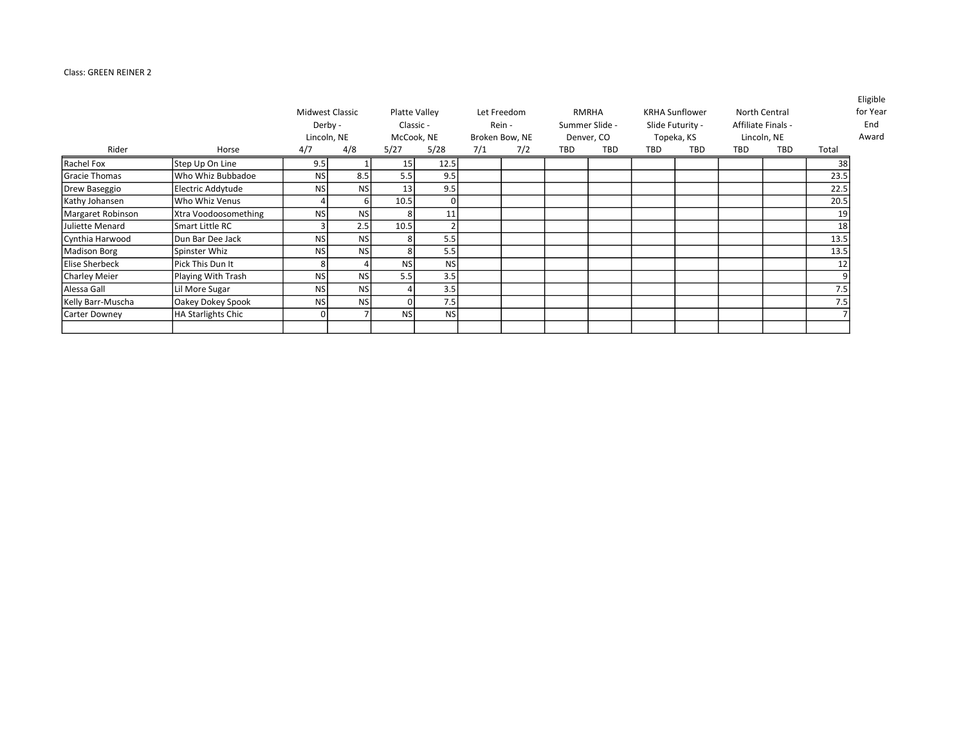## Class: GREEN REINER 2

|                       |                           |                 |           |           |               |     |                |     |                |     |                       |     |                    |       | Eligible |
|-----------------------|---------------------------|-----------------|-----------|-----------|---------------|-----|----------------|-----|----------------|-----|-----------------------|-----|--------------------|-------|----------|
|                       |                           | Midwest Classic |           |           | Platte Valley |     | Let Freedom    |     | <b>RMRHA</b>   |     | <b>KRHA Sunflower</b> |     | North Central      |       | for Year |
|                       |                           | Derby -         |           |           | Classic -     |     | Rein -         |     | Summer Slide - |     | Slide Futurity -      |     | Affiliate Finals - |       | End      |
|                       |                           | Lincoln, NE     |           |           | McCook, NE    |     | Broken Bow, NE |     | Denver, CO     |     | Topeka, KS            |     | Lincoln, NE        |       | Award    |
| Rider                 | Horse                     | 4/7             | 4/8       | 5/27      | 5/28          | 7/1 | 7/2            | TBD | TBD            | TBD | TBD                   | TBD | <b>TBD</b>         | Total |          |
| Rachel Fox            | Step Up On Line           | 9.5             |           | 15        | 12.5          |     |                |     |                |     |                       |     |                    | 38    |          |
| <b>Gracie Thomas</b>  | Who Whiz Bubbadoe         | <b>NS</b>       | 8.5       | 5.5       | 9.5           |     |                |     |                |     |                       |     |                    | 23.5  |          |
| Drew Baseggio         | Electric Addytude         | <b>NS</b>       | <b>NS</b> | 13        | 9.5           |     |                |     |                |     |                       |     |                    | 22.5  |          |
| Kathy Johansen        | Who Whiz Venus            |                 |           | 10.5      | 0             |     |                |     |                |     |                       |     |                    | 20.5  |          |
| Margaret Robinson     | Xtra Voodoosomething      | <b>NS</b>       | <b>NS</b> |           | 11            |     |                |     |                |     |                       |     |                    | 19    |          |
| Juliette Menard       | Smart Little RC           |                 | 2.5       | 10.5      |               |     |                |     |                |     |                       |     |                    | 18    |          |
| Cynthia Harwood       | Dun Bar Dee Jack          | <b>NS</b>       | <b>NS</b> |           | 5.5           |     |                |     |                |     |                       |     |                    | 13.5  |          |
| Madison Borg          | Spinster Whiz             | <b>NS</b>       | <b>NS</b> |           | 5.5           |     |                |     |                |     |                       |     |                    | 13.5  |          |
| <b>Elise Sherbeck</b> | Pick This Dun It          |                 |           | <b>NS</b> | <b>NS</b>     |     |                |     |                |     |                       |     |                    | 12    |          |
| Charley Meier         | Playing With Trash        | <b>NS</b>       | <b>NS</b> | 5.5       | 3.5           |     |                |     |                |     |                       |     |                    |       |          |
| Alessa Gall           | Lil More Sugar            | <b>NS</b>       | <b>NS</b> |           | 3.5           |     |                |     |                |     |                       |     |                    | 7.5   |          |
| Kelly Barr-Muscha     | Oakey Dokey Spook         | <b>NS</b>       | <b>NS</b> |           | 7.5           |     |                |     |                |     |                       |     |                    | 7.5   |          |
| Carter Downey         | <b>HA Starlights Chic</b> |                 |           | <b>NS</b> | <b>NS</b>     |     |                |     |                |     |                       |     |                    |       |          |
|                       |                           |                 |           |           |               |     |                |     |                |     |                       |     |                    |       |          |

Eligible for Year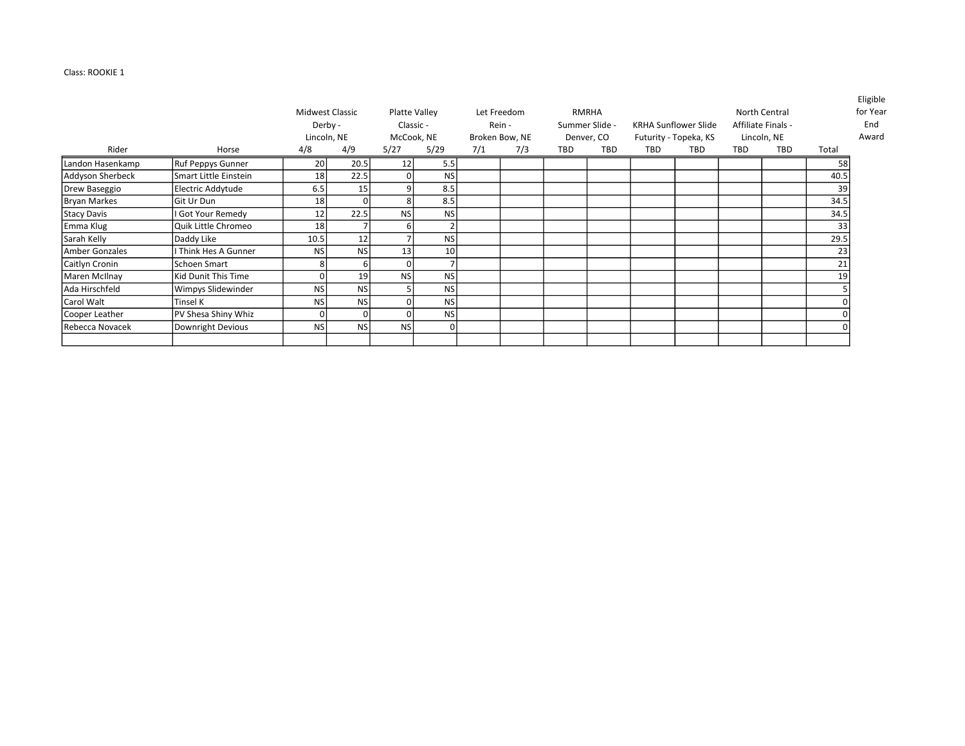## Class: ROOKIE 1

|                     |                       |                 |           |           |                 |     |                |     |                |     |                             |            |                    |       | <b>Lugible</b> |
|---------------------|-----------------------|-----------------|-----------|-----------|-----------------|-----|----------------|-----|----------------|-----|-----------------------------|------------|--------------------|-------|----------------|
|                     |                       | Midwest Classic |           |           | Platte Valley   |     | Let Freedom    |     | RMRHA          |     |                             |            | North Central      |       | for Year       |
|                     |                       | Derby -         |           |           | Classic -       |     | Rein -         |     | Summer Slide - |     | <b>KRHA Sunflower Slide</b> |            | Affiliate Finals - |       | End            |
|                     |                       | Lincoln, NE     |           |           | McCook, NE      |     | Broken Bow, NE |     | Denver, CO     |     | Futurity - Topeka, KS       |            | Lincoln, NE        |       | Award          |
| Rider               | Horse                 | 4/8             | 4/9       | 5/27      | 5/29            | 7/1 | 7/3            | TBD | <b>TBD</b>     | TBD | TBD                         | <b>TBD</b> | <b>TBD</b>         | Total |                |
| Landon Hasenkamp    | Ruf Peppys Gunner     | 20              | 20.5      | 12        | 5.5             |     |                |     |                |     |                             |            |                    | 58    |                |
| Addyson Sherbeck    | Smart Little Einstein | 18              | 22.5      | $\Omega$  | <b>NS</b>       |     |                |     |                |     |                             |            |                    | 40.5  |                |
| Drew Baseggio       | Electric Addytude     | 6.5             | 15        | q         | 8.5             |     |                |     |                |     |                             |            |                    | 39    |                |
| <b>Bryan Markes</b> | Git Ur Dun            | 18              |           | 8         | 8.5             |     |                |     |                |     |                             |            |                    | 34.5  |                |
| <b>Stacy Davis</b>  | I Got Your Remedy     | 12              | 22.5      | <b>NS</b> | <b>NS</b>       |     |                |     |                |     |                             |            |                    | 34.5  |                |
| Emma Klug           | Quik Little Chromeo   | 18              |           | 6         |                 |     |                |     |                |     |                             |            |                    | 33    |                |
| Sarah Kelly         | Daddy Like            | 10.5            | 12        |           | <b>NS</b>       |     |                |     |                |     |                             |            |                    | 29.5  |                |
| Amber Gonzales      | I Think Hes A Gunner  | <b>NS</b>       | <b>NS</b> | 13        | 10 <sup>1</sup> |     |                |     |                |     |                             |            |                    | 23    |                |
| Caitlyn Cronin      | Schoen Smart          | 8               | 6         | $\Omega$  |                 |     |                |     |                |     |                             |            |                    | 21    |                |
| Maren McIlnay       | Kid Dunit This Time   | 0               | 19        | <b>NS</b> | <b>NS</b>       |     |                |     |                |     |                             |            |                    | 19    |                |
| Ada Hirschfeld      | Wimpys Slidewinder    | <b>NS</b>       | <b>NS</b> |           | NS              |     |                |     |                |     |                             |            |                    |       |                |
| Carol Walt          | Tinsel K              | <b>NS</b>       | <b>NS</b> |           | <b>NS</b>       |     |                |     |                |     |                             |            |                    |       |                |
| Cooper Leather      | PV Shesa Shiny Whiz   | $\Omega$        |           |           | <b>NS</b>       |     |                |     |                |     |                             |            |                    |       |                |
| Rebecca Novacek     | Downright Devious     | <b>NS</b>       | <b>NS</b> | <b>NS</b> |                 |     |                |     |                |     |                             |            |                    |       |                |
|                     |                       |                 |           |           |                 |     |                |     |                |     |                             |            |                    |       |                |

Eligible r **Year**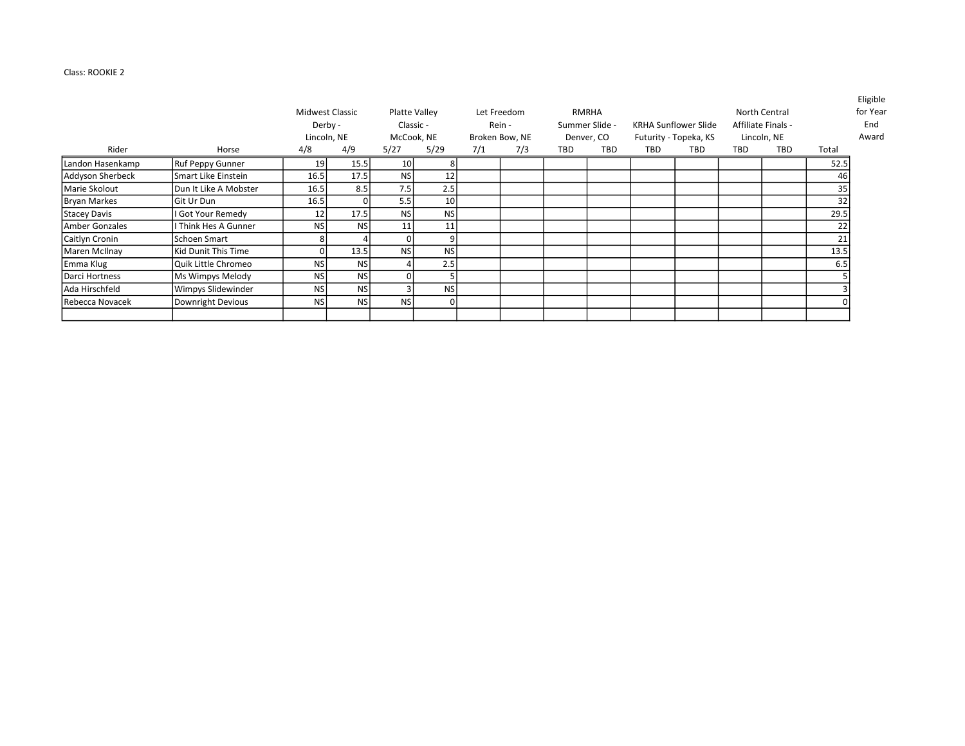## Class: ROOKIE 2

| Rider            | Horse                 | Midwest Classic<br>Derby -<br>Lincoln, NE<br>4/8 | 4/9       | 5/27      | Platte Valley<br>Classic -<br>McCook, NE<br>5/29 | 7/1 | Let Freedom<br>Rein -<br>Broken Bow, NE<br>7/3 | TBD | <b>RMRHA</b><br>Summer Slide -<br>Denver, CO<br>TBD | TBD | <b>KRHA Sunflower Slide</b><br>Futurity - Topeka, KS<br><b>TBD</b> | <b>TBD</b> | North Central<br>Affiliate Finals -<br>Lincoln, NE<br>TBD | Total | <b>Eligible</b><br>for Year<br>End<br>Award |
|------------------|-----------------------|--------------------------------------------------|-----------|-----------|--------------------------------------------------|-----|------------------------------------------------|-----|-----------------------------------------------------|-----|--------------------------------------------------------------------|------------|-----------------------------------------------------------|-------|---------------------------------------------|
|                  |                       |                                                  |           |           |                                                  |     |                                                |     |                                                     |     |                                                                    |            |                                                           |       |                                             |
| Landon Hasenkamp | Ruf Peppy Gunner      | 19                                               | 15.5      | 10        |                                                  |     |                                                |     |                                                     |     |                                                                    |            |                                                           | 52.5  |                                             |
| Addyson Sherbeck | Smart Like Einstein   | 16.5                                             | 17.5      | <b>NS</b> | 12                                               |     |                                                |     |                                                     |     |                                                                    |            |                                                           | 46    |                                             |
| Marie Skolout    | Dun It Like A Mobster | 16.5                                             | 8.5       | 7.5       | 2.5                                              |     |                                                |     |                                                     |     |                                                                    |            |                                                           | 35    |                                             |
| Bryan Markes     | lGit Ur Dun           | 16.5                                             | $\Omega$  | 5.5       | 10 <sup>1</sup>                                  |     |                                                |     |                                                     |     |                                                                    |            |                                                           | 32    |                                             |
| Stacey Davis     | I Got Your Remedy     | 12                                               | 17.5      | <b>NS</b> | <b>NS</b>                                        |     |                                                |     |                                                     |     |                                                                    |            |                                                           | 29.5  |                                             |
| Amber Gonzales   | I Think Hes A Gunner  | <b>NS</b>                                        | <b>NS</b> | 11        | 11                                               |     |                                                |     |                                                     |     |                                                                    |            |                                                           | 22    |                                             |
| Caitlyn Cronin   | Schoen Smart          |                                                  |           |           |                                                  |     |                                                |     |                                                     |     |                                                                    |            |                                                           | 21    |                                             |
| Maren McIlnay    | Kid Dunit This Time   |                                                  | 13.5      | <b>NS</b> | <b>NS</b>                                        |     |                                                |     |                                                     |     |                                                                    |            |                                                           | 13.5  |                                             |
| Emma Klug        | Quik Little Chromeo   | <b>NS</b>                                        | <b>NS</b> |           | 2.5                                              |     |                                                |     |                                                     |     |                                                                    |            |                                                           | 6.5   |                                             |
| Darci Hortness   | Ms Wimpys Melody      | <b>NS</b>                                        | <b>NS</b> |           |                                                  |     |                                                |     |                                                     |     |                                                                    |            |                                                           |       |                                             |
| Ada Hirschfeld   | Wimpys Slidewinder    | <b>NS</b>                                        | <b>NS</b> |           | <b>NS</b>                                        |     |                                                |     |                                                     |     |                                                                    |            |                                                           |       |                                             |
| Rebecca Novacek  | Downright Devious     | <b>NS</b>                                        | <b>NS</b> | <b>NS</b> | ŋ                                                |     |                                                |     |                                                     |     |                                                                    |            |                                                           |       |                                             |
|                  |                       |                                                  |           |           |                                                  |     |                                                |     |                                                     |     |                                                                    |            |                                                           |       |                                             |

Eligible for Year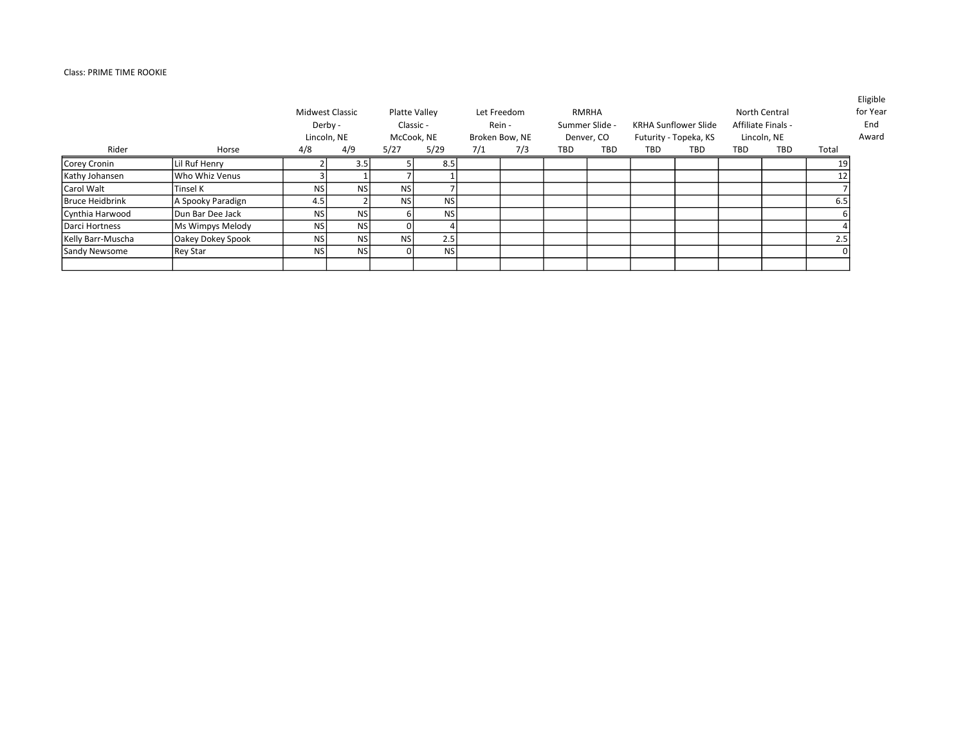## Class: PRIME TIME ROOKIE

|                        |                   |           | <b>Midwest Classic</b><br>Derby -<br>Lincoln, NE |            | Platte Valley<br>Classic -<br>McCook, NE |     | Let Freedom<br>Rein -<br>Broken Bow, NE |     | RMRHA<br>Summer Slide -<br>Denver, CO |     | <b>KRHA Sunflower Slide</b><br>Futurity - Topeka, KS |     | North Central<br>Affiliate Finals -<br>Lincoln, NE |       | Eligible<br>for Year<br>End<br>Award |
|------------------------|-------------------|-----------|--------------------------------------------------|------------|------------------------------------------|-----|-----------------------------------------|-----|---------------------------------------|-----|------------------------------------------------------|-----|----------------------------------------------------|-------|--------------------------------------|
| Rider                  | Horse             | 4/8       | 4/9                                              | 5/27       | 5/29                                     | 7/1 | 7/3                                     | TBD | <b>TBD</b>                            | TBD | TBD                                                  | TBD | TBD                                                | Total |                                      |
| Corey Cronin           | Lil Ruf Henry     |           | 3.5                                              |            | 8.5                                      |     |                                         |     |                                       |     |                                                      |     |                                                    | 19    |                                      |
| Kathy Johansen         | Who Whiz Venus    |           |                                                  |            |                                          |     |                                         |     |                                       |     |                                                      |     |                                                    | 12    |                                      |
| lCarol Walt            | Tinsel K          | <b>NS</b> | <b>NS</b>                                        | <b>NSI</b> |                                          |     |                                         |     |                                       |     |                                                      |     |                                                    |       |                                      |
| <b>Bruce Heidbrink</b> | A Spooky Paradign | 4.5       |                                                  | <b>NSI</b> | <b>NS</b>                                |     |                                         |     |                                       |     |                                                      |     |                                                    | 6.5   |                                      |
| Cynthia Harwood        | Dun Bar Dee Jack  | <b>NS</b> | <b>NS</b>                                        |            | NS                                       |     |                                         |     |                                       |     |                                                      |     |                                                    |       |                                      |
| Darci Hortness         | Ms Wimpys Melody  | <b>NS</b> | <b>NS</b>                                        |            |                                          |     |                                         |     |                                       |     |                                                      |     |                                                    |       |                                      |
| Kelly Barr-Muscha      | Oakey Dokey Spook | <b>NS</b> | <b>NS</b>                                        | <b>NSI</b> | 2.5                                      |     |                                         |     |                                       |     |                                                      |     |                                                    | 2.5   |                                      |
| Sandy Newsome          | Rey Star          | <b>NS</b> | NS)                                              |            | <b>NS</b>                                |     |                                         |     |                                       |     |                                                      |     |                                                    |       |                                      |
|                        |                   |           |                                                  |            |                                          |     |                                         |     |                                       |     |                                                      |     |                                                    |       |                                      |

Eligible ear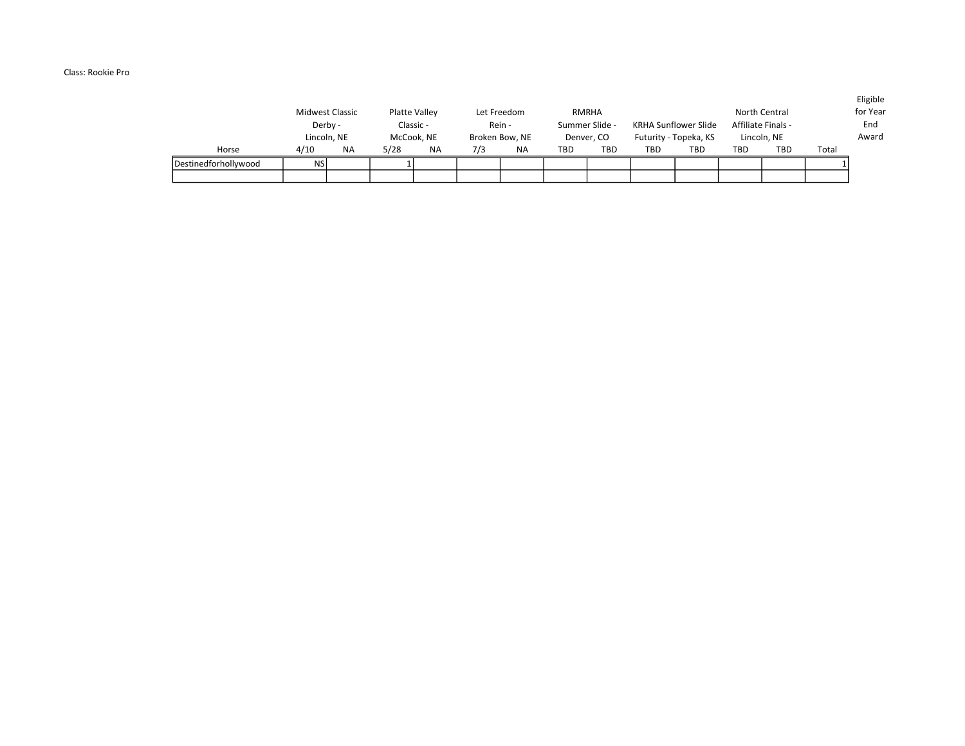## Class: Rookie Pro

|                      | Midwest Classic<br>Derby -<br>Lincoln, NE |           | Platte Valley<br>Classic -<br>McCook, NE |           |     | Let Freedom<br>Rein -<br>Broken Bow, NE |     | RMRHA<br>Summer Slide -<br>Denver. CO |     | <b>KRHA Sunflower Slide</b><br>Futurity - Topeka, KS |            | North Central<br>Affiliate Finals -<br>Lincoln, NE |       | LUSIVIC<br>for Year<br>End<br>Award |
|----------------------|-------------------------------------------|-----------|------------------------------------------|-----------|-----|-----------------------------------------|-----|---------------------------------------|-----|------------------------------------------------------|------------|----------------------------------------------------|-------|-------------------------------------|
| Horse                | 4/10                                      | <b>NA</b> | 5/28                                     | <b>NA</b> | 7/3 | <b>NA</b>                               | TBD | <b>TBD</b>                            | TBD | TBD                                                  | <b>TBD</b> | <b>TBD</b>                                         | Total |                                     |
| Destinedforhollywood | <b>NSI</b>                                |           |                                          |           |     |                                         |     |                                       |     |                                                      |            |                                                    |       |                                     |
|                      |                                           |           |                                          |           |     |                                         |     |                                       |     |                                                      |            |                                                    |       |                                     |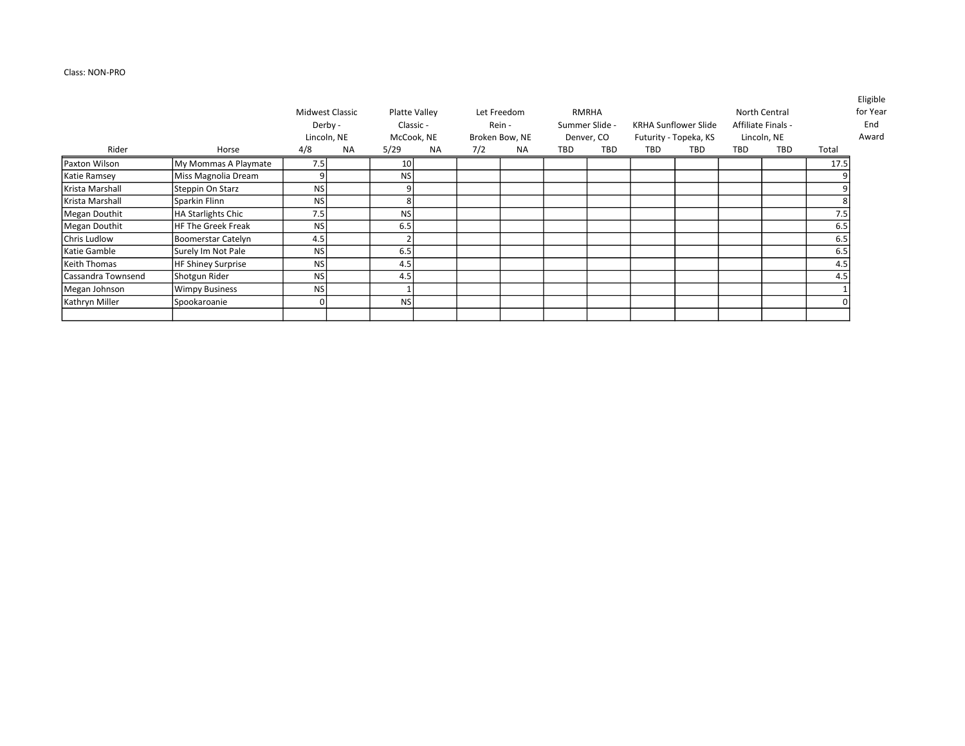## Class: NON-PRO

|                           |                                                      |            |                                                        |                         |                                                |     |                                               |     |                                                     |            |                                                             |     |                                                           | <b>Eligible</b><br>for Year<br>End<br>Award |
|---------------------------|------------------------------------------------------|------------|--------------------------------------------------------|-------------------------|------------------------------------------------|-----|-----------------------------------------------|-----|-----------------------------------------------------|------------|-------------------------------------------------------------|-----|-----------------------------------------------------------|---------------------------------------------|
|                           |                                                      |            |                                                        |                         |                                                |     |                                               |     |                                                     |            |                                                             |     |                                                           |                                             |
|                           |                                                      |            |                                                        |                         |                                                |     |                                               |     |                                                     |            |                                                             |     |                                                           |                                             |
| Steppin On Starz          | <b>NS</b>                                            |            |                                                        |                         |                                                |     |                                               |     |                                                     |            |                                                             |     |                                                           |                                             |
| Sparkin Flinn             | <b>NS</b>                                            |            | 8                                                      |                         |                                                |     |                                               |     |                                                     |            |                                                             |     |                                                           |                                             |
| HA Starlights Chic        | 7.5                                                  |            | <b>NS</b>                                              |                         |                                                |     |                                               |     |                                                     |            |                                                             |     | 7.5                                                       |                                             |
| <b>HF The Greek Freak</b> | <b>NS</b>                                            |            | 6.5                                                    |                         |                                                |     |                                               |     |                                                     |            |                                                             |     | 6.5                                                       |                                             |
| Boomerstar Catelyn        | 4.5                                                  |            |                                                        |                         |                                                |     |                                               |     |                                                     |            |                                                             |     | 6.5                                                       |                                             |
| Surely Im Not Pale        | <b>NS</b>                                            |            | 6.5                                                    |                         |                                                |     |                                               |     |                                                     |            |                                                             |     | 6.5                                                       |                                             |
| HF Shiney Surprise        | <b>NS</b>                                            |            | 4.5                                                    |                         |                                                |     |                                               |     |                                                     |            |                                                             |     | 4.5                                                       |                                             |
| Shotgun Rider             | <b>NS</b>                                            |            | 4.5                                                    |                         |                                                |     |                                               |     |                                                     |            |                                                             |     | 4.5                                                       |                                             |
| <b>Wimpy Business</b>     | <b>NS</b>                                            |            |                                                        |                         |                                                |     |                                               |     |                                                     |            |                                                             |     |                                                           |                                             |
| Spookaroanie              |                                                      |            | <b>NS</b>                                              |                         |                                                |     |                                               |     |                                                     |            |                                                             |     |                                                           |                                             |
|                           | Horse<br>My Mommas A Playmate<br>Miss Magnolia Dream | 4/8<br>7.5 | Midwest Classic<br>Derby -<br>Lincoln, NE<br><b>NA</b> | 5/29<br>10<br><b>NS</b> | Platte Valley<br>Classic -<br>McCook, NE<br>NA | 7/2 | Let Freedom<br>Rein -<br>Broken Bow, NE<br>NA | TBD | <b>RMRHA</b><br>Summer Slide -<br>Denver, CO<br>TBD | <b>TBD</b> | <b>KRHA Sunflower Slide</b><br>Futurity - Topeka, KS<br>TBD | TBD | North Central<br>Affiliate Finals -<br>Lincoln, NE<br>TBD | Total<br>17.5                               |

Eligible Year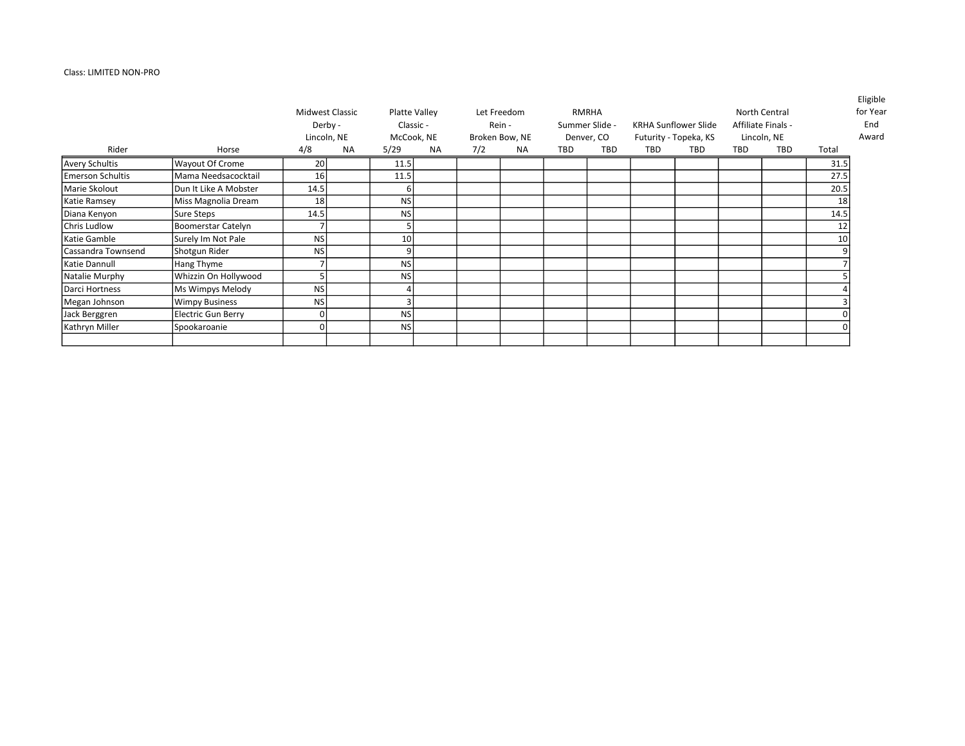## Class: LIMITED NON-PRO

|                         |                           | Derby -<br>Lincoln, NE | Midwest Classic |                 | Platte Valley<br>Classic -<br>McCook, NE |     | Let Freedom<br>Rein -<br>Broken Bow, NE |     | <b>RMRHA</b><br>Summer Slide -<br>Denver, CO |     | <b>KRHA Sunflower Slide</b><br>Futurity - Topeka, KS |     | North Central<br>Affiliate Finals -<br>Lincoln, NE |       | Eligible<br>for Year<br>End<br>Award |
|-------------------------|---------------------------|------------------------|-----------------|-----------------|------------------------------------------|-----|-----------------------------------------|-----|----------------------------------------------|-----|------------------------------------------------------|-----|----------------------------------------------------|-------|--------------------------------------|
| Rider                   | Horse                     | 4/8                    | <b>NA</b>       | 5/29            | <b>NA</b>                                | 7/2 | ΝA                                      | TBD | TBD                                          | TBD | TBD                                                  | TBD | TBD                                                | Total |                                      |
| <b>Avery Schultis</b>   | Wayout Of Crome           | 20 <sup>1</sup>        |                 | 11.5            |                                          |     |                                         |     |                                              |     |                                                      |     |                                                    | 31.5  |                                      |
| <b>Emerson Schultis</b> | Mama Needsacocktail       | 16                     |                 | 11.5            |                                          |     |                                         |     |                                              |     |                                                      |     |                                                    | 27.5  |                                      |
| Marie Skolout           | Dun It Like A Mobster     | 14.5                   |                 | 6 I             |                                          |     |                                         |     |                                              |     |                                                      |     |                                                    | 20.5  |                                      |
| Katie Ramsey            | Miss Magnolia Dream       | 18                     |                 | NS              |                                          |     |                                         |     |                                              |     |                                                      |     |                                                    | 18    |                                      |
| Diana Kenyon            | Sure Steps                | 14.5                   |                 | NS              |                                          |     |                                         |     |                                              |     |                                                      |     |                                                    | 14.5  |                                      |
| Chris Ludlow            | Boomerstar Catelyn        |                        |                 |                 |                                          |     |                                         |     |                                              |     |                                                      |     |                                                    | 12    |                                      |
| Katie Gamble            | Surely Im Not Pale        | NS                     |                 | 10 <sup>1</sup> |                                          |     |                                         |     |                                              |     |                                                      |     |                                                    | 10    |                                      |
| Cassandra Townsend      | Shotgun Rider             | <b>NS</b>              |                 | $\overline{9}$  |                                          |     |                                         |     |                                              |     |                                                      |     |                                                    |       |                                      |
| Katie Dannull           | Hang Thyme                |                        |                 | NS              |                                          |     |                                         |     |                                              |     |                                                      |     |                                                    |       |                                      |
| Natalie Murphy          | Whizzin On Hollywood      |                        |                 | NS              |                                          |     |                                         |     |                                              |     |                                                      |     |                                                    |       |                                      |
| Darci Hortness          | Ms Wimpys Melody          | NS                     |                 |                 |                                          |     |                                         |     |                                              |     |                                                      |     |                                                    |       |                                      |
| Megan Johnson           | <b>Wimpy Business</b>     | NS                     |                 |                 |                                          |     |                                         |     |                                              |     |                                                      |     |                                                    |       |                                      |
| Jack Berggren           | <b>Electric Gun Berry</b> | 0l                     |                 | NS              |                                          |     |                                         |     |                                              |     |                                                      |     |                                                    |       |                                      |
| Kathryn Miller          | Spookaroanie              | 01                     |                 | NS              |                                          |     |                                         |     |                                              |     |                                                      |     |                                                    |       |                                      |

Year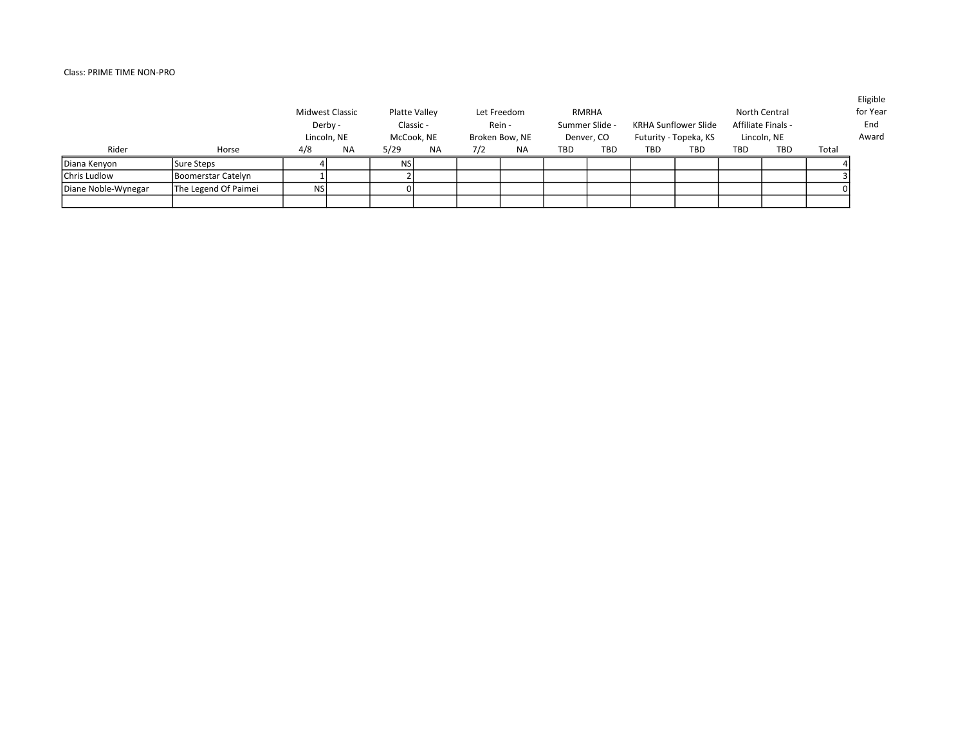# Class: PRIME TIME NON-PRO

|                     |                      |           | Midwest Classic<br>Derby -<br>Lincoln, NE |      | Platte Valley<br>Classic -<br>McCook, NE |     | Let Freedom<br>Rein -<br>Broken Bow, NE |            | RMRHA<br>Summer Slide -<br>Denver, CO |     | <b>KRHA Sunflower Slide</b><br>Futurity - Topeka, KS |     | North Central<br>Affiliate Finals -<br>Lincoln, NE |       | Eligible<br>for Year<br>End<br>Award |
|---------------------|----------------------|-----------|-------------------------------------------|------|------------------------------------------|-----|-----------------------------------------|------------|---------------------------------------|-----|------------------------------------------------------|-----|----------------------------------------------------|-------|--------------------------------------|
| Rider               | Horse                | 4/8       | ΝA                                        | 5/29 | NA                                       | 7/2 | <b>NA</b>                               | <b>TBD</b> | <b>TBD</b>                            | TBD | <b>TBD</b>                                           | TBD | <b>TBD</b>                                         | Total |                                      |
| Diana Kenyon        | Sure Steps           |           |                                           | NSI  |                                          |     |                                         |            |                                       |     |                                                      |     |                                                    |       |                                      |
| Chris Ludlow        | Boomerstar Catelyn   |           |                                           |      |                                          |     |                                         |            |                                       |     |                                                      |     |                                                    |       |                                      |
| Diane Noble-Wynegar | The Legend Of Paimei | <b>NS</b> |                                           |      |                                          |     |                                         |            |                                       |     |                                                      |     |                                                    |       |                                      |
|                     |                      |           |                                           |      |                                          |     |                                         |            |                                       |     |                                                      |     |                                                    |       |                                      |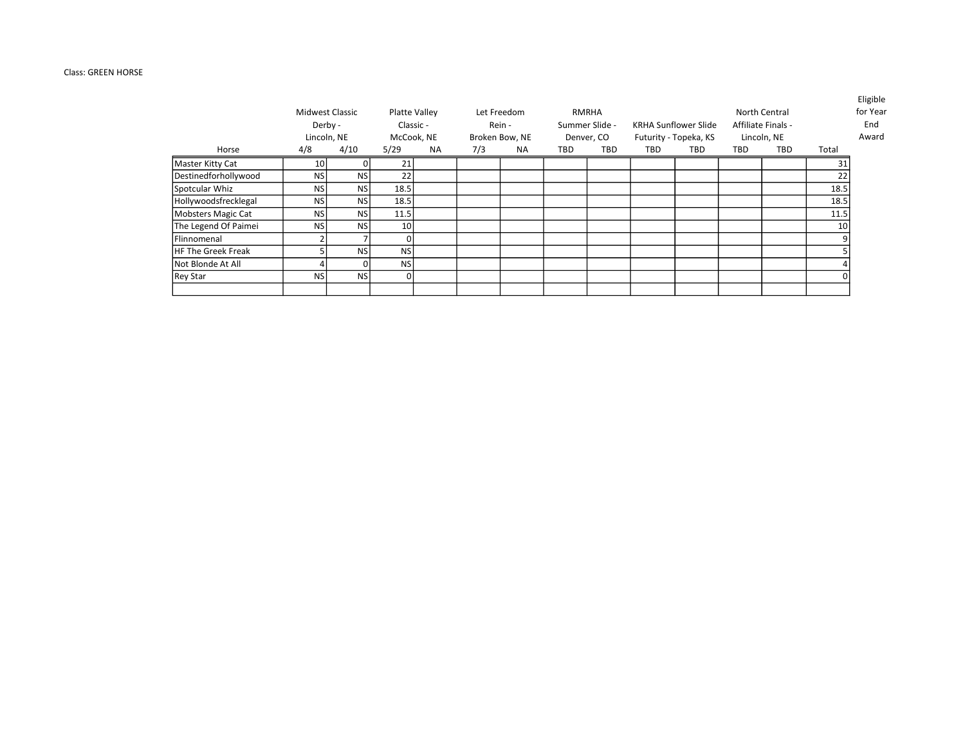## Class: GREEN HORSE

| Horse                | Midwest Classic<br>Derby -<br>Lincoln, NE<br>4/8 | 4/10      | 5/29            | Platte Valley<br>Classic -<br>McCook, NE<br><b>NA</b> | 7/3 | Let Freedom<br>Rein -<br>Broken Bow, NE<br><b>NA</b> | <b>TBD</b> | RMRHA<br>Summer Slide -<br>Denver, CO<br><b>TBD</b> | TBD | <b>KRHA Sunflower Slide</b><br>Futurity - Topeka, KS<br>TBD | TBD | North Central<br>Affiliate Finals -<br>Lincoln, NE<br><b>TBD</b> | Total | <b>Eligible</b><br>for Year<br>End<br>Award |
|----------------------|--------------------------------------------------|-----------|-----------------|-------------------------------------------------------|-----|------------------------------------------------------|------------|-----------------------------------------------------|-----|-------------------------------------------------------------|-----|------------------------------------------------------------------|-------|---------------------------------------------|
|                      |                                                  |           | 21              |                                                       |     |                                                      |            |                                                     |     |                                                             |     |                                                                  | 31    |                                             |
| Master Kitty Cat     | 10 <sub>1</sub>                                  |           |                 |                                                       |     |                                                      |            |                                                     |     |                                                             |     |                                                                  |       |                                             |
| Destinedforhollywood | <b>NS</b>                                        | <b>NS</b> | 22              |                                                       |     |                                                      |            |                                                     |     |                                                             |     |                                                                  | 22    |                                             |
| Spotcular Whiz       | <b>NS</b>                                        | <b>NS</b> | 18.5            |                                                       |     |                                                      |            |                                                     |     |                                                             |     |                                                                  | 18.5  |                                             |
| Hollywoodsfrecklegal | <b>NS</b>                                        | NS        | 18.5            |                                                       |     |                                                      |            |                                                     |     |                                                             |     |                                                                  | 18.5  |                                             |
| Mobsters Magic Cat   | <b>NS</b>                                        | <b>NS</b> | 11.5            |                                                       |     |                                                      |            |                                                     |     |                                                             |     |                                                                  | 11.5  |                                             |
| The Legend Of Paimei | <b>NS</b>                                        | <b>NS</b> | 10 <sup>1</sup> |                                                       |     |                                                      |            |                                                     |     |                                                             |     |                                                                  | 10    |                                             |
| <b>IFlinnomenal</b>  |                                                  |           | $\Omega$        |                                                       |     |                                                      |            |                                                     |     |                                                             |     |                                                                  |       |                                             |
| HF The Greek Freak   |                                                  | <b>NS</b> | <b>NS</b>       |                                                       |     |                                                      |            |                                                     |     |                                                             |     |                                                                  |       |                                             |
| Not Blonde At All    |                                                  |           | <b>NS</b>       |                                                       |     |                                                      |            |                                                     |     |                                                             |     |                                                                  |       |                                             |
| Rey Star             | <b>NS</b>                                        | <b>NS</b> | Οl              |                                                       |     |                                                      |            |                                                     |     |                                                             |     |                                                                  |       |                                             |
|                      |                                                  |           |                 |                                                       |     |                                                      |            |                                                     |     |                                                             |     |                                                                  |       |                                             |

Eligible r Year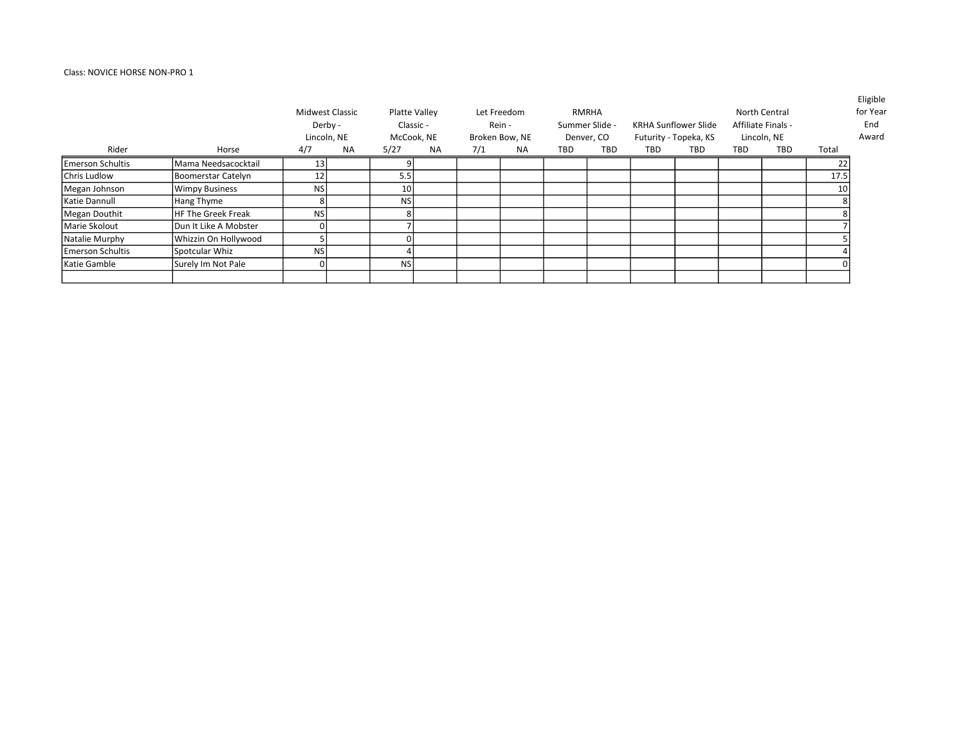# Class: NOVICE HORSE NON-PRO 1

| Rider                   | Horse                     | Midwest Classic<br>Derby -<br>Lincoln, NE<br>4/7 | <b>NA</b> | 5/27            | Platte Valley<br>Classic -<br>McCook, NE<br>NA. | 7/1 | Let Freedom<br>Rein -<br>Broken Bow, NE<br>NA. | TBD | RMRHA<br>Summer Slide -<br>Denver, CO<br><b>TBD</b> | <b>TBD</b> | <b>KRHA Sunflower Slide</b><br>Futurity - Topeka, KS<br>TBD | TBD | North Central<br>Affiliate Finals -<br>Lincoln, NE<br>TBD | Total | Eligible<br>for Year<br>End<br>Award |
|-------------------------|---------------------------|--------------------------------------------------|-----------|-----------------|-------------------------------------------------|-----|------------------------------------------------|-----|-----------------------------------------------------|------------|-------------------------------------------------------------|-----|-----------------------------------------------------------|-------|--------------------------------------|
| <b>Emerson Schultis</b> | Mama Needsacocktail       |                                                  |           | ٩I              |                                                 |     |                                                |     |                                                     |            |                                                             |     |                                                           |       |                                      |
|                         |                           | 13 <sup>1</sup>                                  |           |                 |                                                 |     |                                                |     |                                                     |            |                                                             |     |                                                           |       |                                      |
| Chris Ludlow            | Boomerstar Catelyn        | 12                                               |           | 5.5             |                                                 |     |                                                |     |                                                     |            |                                                             |     |                                                           | 17.5  |                                      |
| Megan Johnson           | <b>Wimpy Business</b>     | NS                                               |           | 10 <sup>1</sup> |                                                 |     |                                                |     |                                                     |            |                                                             |     |                                                           | 10    |                                      |
| Katie Dannull           | Hang Thyme                | 8                                                |           | NS              |                                                 |     |                                                |     |                                                     |            |                                                             |     |                                                           |       |                                      |
| Megan Douthit           | <b>HF The Greek Freak</b> | <b>NS</b>                                        |           | Զ               |                                                 |     |                                                |     |                                                     |            |                                                             |     |                                                           |       |                                      |
| Marie Skolout           | Dun It Like A Mobster     | ΩI                                               |           |                 |                                                 |     |                                                |     |                                                     |            |                                                             |     |                                                           |       |                                      |
| Natalie Murphy          | Whizzin On Hollywood      |                                                  |           |                 |                                                 |     |                                                |     |                                                     |            |                                                             |     |                                                           |       |                                      |
| <b>Emerson Schultis</b> | Spotcular Whiz            | <b>NS</b>                                        |           |                 |                                                 |     |                                                |     |                                                     |            |                                                             |     |                                                           |       |                                      |
| Katie Gamble            | Surely Im Not Pale        | 01                                               |           | <b>NSI</b>      |                                                 |     |                                                |     |                                                     |            |                                                             |     |                                                           |       |                                      |
|                         |                           |                                                  |           |                 |                                                 |     |                                                |     |                                                     |            |                                                             |     |                                                           |       |                                      |

Eligible ar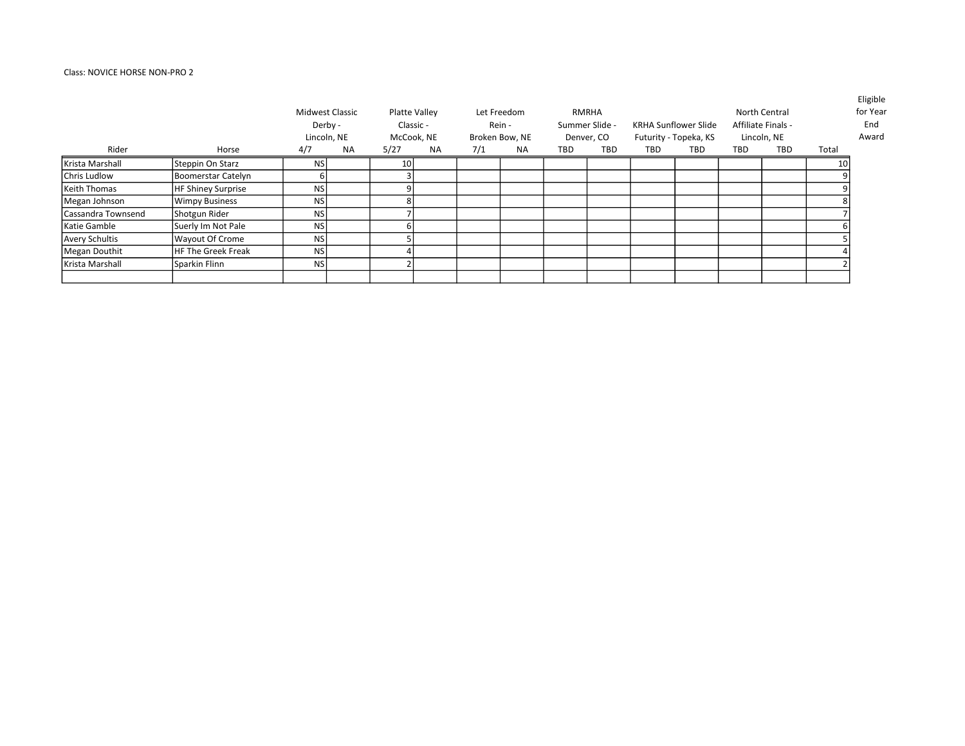# Class: NOVICE HORSE NON-PRO 2

|                     |                           | Midwest Classic<br>Derby - | Lincoln, NE |                 | Platte Valley<br>Classic -<br>McCook, NE |     | Let Freedom<br>Rein -<br>Broken Bow, NE |     | RMRHA<br>Summer Slide -<br>Denver, CO |     | <b>KRHA Sunflower Slide</b><br>Futurity - Topeka, KS |            | North Central<br>Affiliate Finals -<br>Lincoln, NE |       | <b>Eligible</b><br>for Year<br>End<br>Award |
|---------------------|---------------------------|----------------------------|-------------|-----------------|------------------------------------------|-----|-----------------------------------------|-----|---------------------------------------|-----|------------------------------------------------------|------------|----------------------------------------------------|-------|---------------------------------------------|
| Rider               | Horse                     | 4/7                        | NA          | 5/27            | NA                                       | 7/1 | <b>NA</b>                               | TBD | <b>TBD</b>                            | TBD | TBD                                                  | <b>TBD</b> | TBD                                                | Total |                                             |
| Krista Marshall     | Steppin On Starz          | <b>NS</b>                  |             | 10 <sup>1</sup> |                                          |     |                                         |     |                                       |     |                                                      |            |                                                    | 10    |                                             |
| Chris Ludlow        | Boomerstar Catelyn        |                            |             |                 |                                          |     |                                         |     |                                       |     |                                                      |            |                                                    |       |                                             |
| <b>Keith Thomas</b> | <b>HF Shiney Surprise</b> | <b>NS</b>                  |             | a               |                                          |     |                                         |     |                                       |     |                                                      |            |                                                    |       |                                             |
| Megan Johnson       | <b>Wimpy Business</b>     | <b>NS</b>                  |             |                 |                                          |     |                                         |     |                                       |     |                                                      |            |                                                    |       |                                             |
| Cassandra Townsend  | Shotgun Rider             | <b>NS</b>                  |             |                 |                                          |     |                                         |     |                                       |     |                                                      |            |                                                    |       |                                             |
| Katie Gamble        | Suerly Im Not Pale        | <b>NS</b>                  |             | h               |                                          |     |                                         |     |                                       |     |                                                      |            |                                                    |       |                                             |
| Avery Schultis      | Wayout Of Crome           | <b>NS</b>                  |             |                 |                                          |     |                                         |     |                                       |     |                                                      |            |                                                    |       |                                             |
| Megan Douthit       | HF The Greek Freak        | <b>NS</b>                  |             |                 |                                          |     |                                         |     |                                       |     |                                                      |            |                                                    |       |                                             |
| Krista Marshall     | Sparkin Flinn             | <b>NS</b>                  |             |                 |                                          |     |                                         |     |                                       |     |                                                      |            |                                                    |       |                                             |
|                     |                           |                            |             |                 |                                          |     |                                         |     |                                       |     |                                                      |            |                                                    |       |                                             |

Eligible ar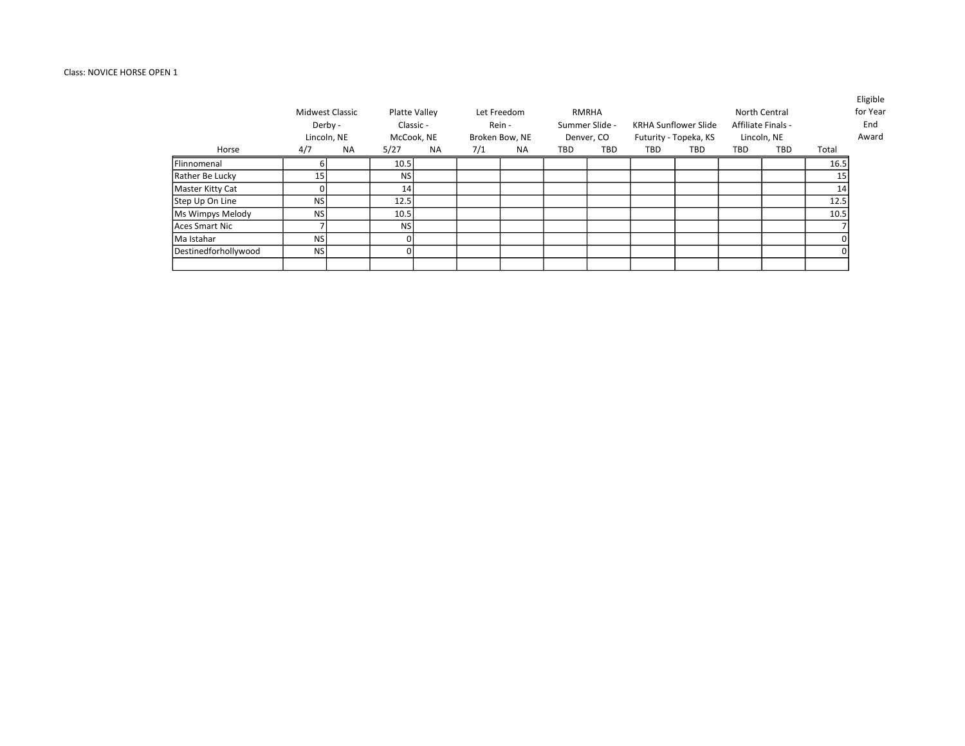# Class: NOVICE HORSE OPEN 1

|                      |           | <b>Midwest Classic</b><br>Derby -<br>Lincoln, NE |           | Platte Valley<br>Classic -<br>McCook, NE |     | Let Freedom<br>Rein -<br>Broken Bow, NE |     | RMRHA<br>Summer Slide -<br>Denver, CO |     | <b>KRHA Sunflower Slide</b><br>Futurity - Topeka, KS |            | North Central<br>Affiliate Finals -<br>Lincoln, NE |       | Eligible<br>for Year<br>End<br>Award |
|----------------------|-----------|--------------------------------------------------|-----------|------------------------------------------|-----|-----------------------------------------|-----|---------------------------------------|-----|------------------------------------------------------|------------|----------------------------------------------------|-------|--------------------------------------|
| Horse                | 4/7       | <b>NA</b>                                        | 5/27      | <b>NA</b>                                | 7/1 | NA.                                     | TBD | TBD                                   | TBD | TBD                                                  | <b>TBD</b> | TBD                                                | Total |                                      |
| Flinnomenal          |           |                                                  | 10.5      |                                          |     |                                         |     |                                       |     |                                                      |            |                                                    | 16.5  |                                      |
| Rather Be Lucky      | 15        |                                                  | <b>NS</b> |                                          |     |                                         |     |                                       |     |                                                      |            |                                                    | 15    |                                      |
| Master Kitty Cat     |           |                                                  | 14        |                                          |     |                                         |     |                                       |     |                                                      |            |                                                    | 14    |                                      |
| Step Up On Line      | <b>NS</b> |                                                  | 12.5      |                                          |     |                                         |     |                                       |     |                                                      |            |                                                    | 12.5  |                                      |
| Ms Wimpys Melody     | <b>NS</b> |                                                  | 10.5      |                                          |     |                                         |     |                                       |     |                                                      |            |                                                    | 10.5  |                                      |
| Aces Smart Nic       |           |                                                  | <b>NS</b> |                                          |     |                                         |     |                                       |     |                                                      |            |                                                    |       |                                      |
| Ma Istahar           | <b>NS</b> |                                                  |           |                                          |     |                                         |     |                                       |     |                                                      |            |                                                    |       |                                      |
| Destinedforhollywood | <b>NS</b> |                                                  |           |                                          |     |                                         |     |                                       |     |                                                      |            |                                                    |       |                                      |
|                      |           |                                                  |           |                                          |     |                                         |     |                                       |     |                                                      |            |                                                    |       |                                      |

Eligible r Year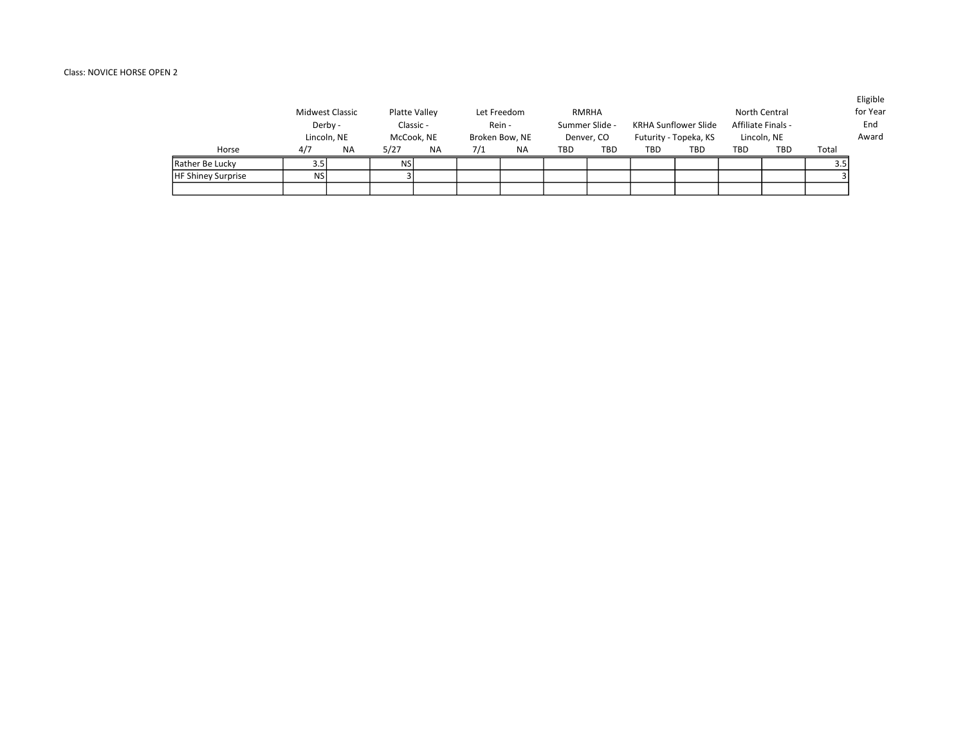# Class: NOVICE HORSE OPEN 2

|                           | Midwest Classic<br>Derby -<br>Lincoln, NE |           | Platte Valley<br>Classic -<br>McCook, NE |           |     | Let Freedom<br>Rein -<br>Broken Bow, NE |     | RMRHA<br>Summer Slide -<br>Denver, CO |     | KRHA Sunflower Slide<br>Futurity - Topeka, KS |     | North Central<br>Affiliate Finals -<br>Lincoln, NE |       | LUSIVIC<br>for Year<br>End<br>Award |
|---------------------------|-------------------------------------------|-----------|------------------------------------------|-----------|-----|-----------------------------------------|-----|---------------------------------------|-----|-----------------------------------------------|-----|----------------------------------------------------|-------|-------------------------------------|
| Horse                     | 4/7                                       | <b>NA</b> | 5/27                                     | <b>NA</b> | 7/1 | <b>NA</b>                               | TBD | <b>TBD</b>                            | TBD | <b>TBD</b>                                    | TBD | <b>TBD</b>                                         | Total |                                     |
| Rather Be Lucky           |                                           |           | <b>NS</b>                                |           |     |                                         |     |                                       |     |                                               |     |                                                    | 3.5   |                                     |
| <b>HF Shiney Surprise</b> | <b>NS</b>                                 |           |                                          |           |     |                                         |     |                                       |     |                                               |     |                                                    |       |                                     |
|                           |                                           |           |                                          |           |     |                                         |     |                                       |     |                                               |     |                                                    |       |                                     |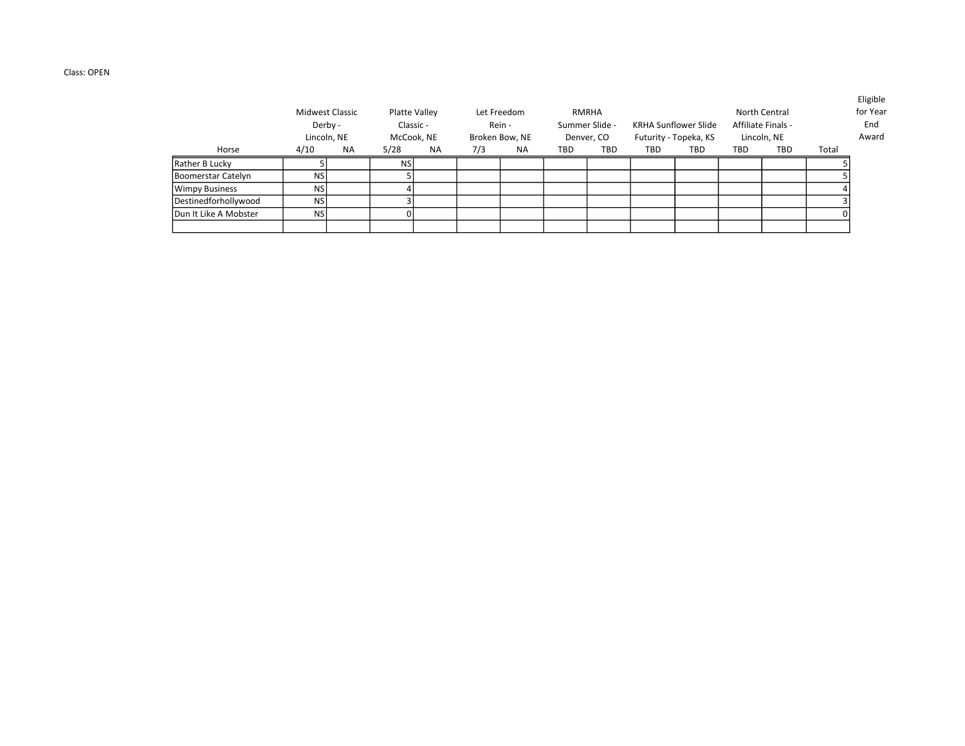## Class: OPEN

|                        |                                  | Midwest Classic<br>Derby - |            | Platte Valley<br>Classic - |                | Let Freedom<br>Rein - |            | RMRHA<br>Summer Slide - |                       | <b>KRHA Sunflower Slide</b> |             | North Central<br>Affiliate Finals - |       | <b>Lugible</b><br>for Year<br>End |
|------------------------|----------------------------------|----------------------------|------------|----------------------------|----------------|-----------------------|------------|-------------------------|-----------------------|-----------------------------|-------------|-------------------------------------|-------|-----------------------------------|
|                        | Lincoln, NE<br>4/10<br><b>NA</b> |                            | McCook, NE |                            | Broken Bow, NE |                       | Denver, CO |                         | Futurity - Topeka, KS |                             | Lincoln, NE |                                     | Award |                                   |
| Horse                  |                                  |                            | 5/28       | <b>NA</b>                  | 7/3            | <b>NA</b>             | TBD        | TBD                     | TBD                   | TBD                         | TBD         | <b>TBD</b>                          | Total |                                   |
| Rather B Lucky         |                                  |                            | <b>NS</b>  |                            |                |                       |            |                         |                       |                             |             |                                     |       |                                   |
| Boomerstar Catelyn     | <b>NS</b>                        |                            |            |                            |                |                       |            |                         |                       |                             |             |                                     |       |                                   |
| Wimpy Business         | <b>NS</b>                        |                            |            |                            |                |                       |            |                         |                       |                             |             |                                     |       |                                   |
| Destinedforhollywood   | <b>NS</b>                        |                            |            |                            |                |                       |            |                         |                       |                             |             |                                     |       |                                   |
| lDun It Like A Mobster | <b>NS</b>                        |                            |            |                            |                |                       |            |                         |                       |                             |             |                                     |       |                                   |
|                        |                                  |                            |            |                            |                |                       |            |                         |                       |                             |             |                                     |       |                                   |

Eligible ne.